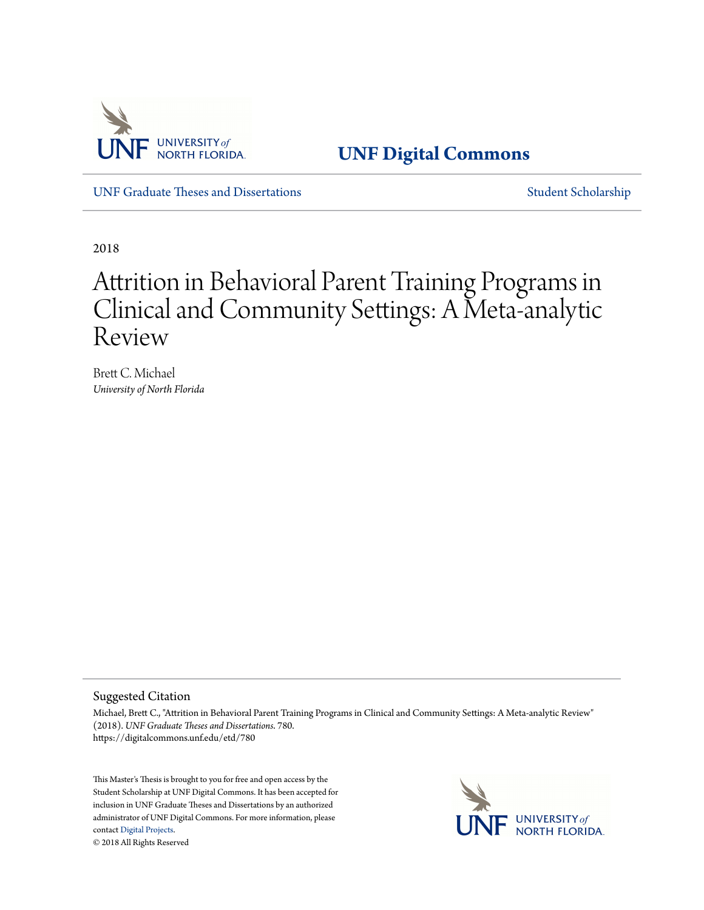

**[UNF Digital Commons](https://digitalcommons.unf.edu)**

[UNF Graduate Theses and Dissertations](https://digitalcommons.unf.edu/etd) [Student Scholarship](https://digitalcommons.unf.edu/student_scholars)

2018

# Attrition in Behavioral Parent Training Programs in Clinical and Community Settings: A Meta-analytic Review

Brett C. Michael *University of North Florida*

#### Suggested Citation

Michael, Brett C., "Attrition in Behavioral Parent Training Programs in Clinical and Community Settings: A Meta-analytic Review" (2018). *UNF Graduate Theses and Dissertations*. 780. https://digitalcommons.unf.edu/etd/780

This Master's Thesis is brought to you for free and open access by the Student Scholarship at UNF Digital Commons. It has been accepted for inclusion in UNF Graduate Theses and Dissertations by an authorized administrator of UNF Digital Commons. For more information, please contact [Digital Projects.](mailto:lib-digital@unf.edu) © 2018 All Rights Reserved

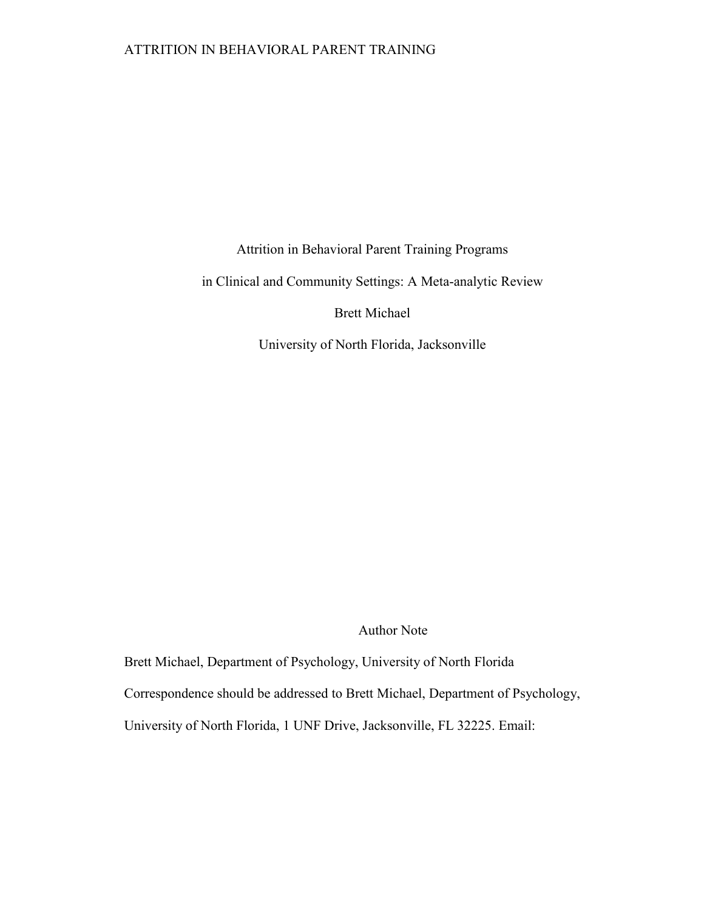## ATTRITION IN BEHAVIORAL PARENT TRAINING

Attrition in Behavioral Parent Training Programs

in Clinical and Community Settings: A Meta-analytic Review

Brett Michael

University of North Florida, Jacksonville

Author Note

Brett Michael, Department of Psychology, University of North Florida

Correspondence should be addressed to Brett Michael, Department of Psychology,

University of North Florida, 1 UNF Drive, Jacksonville, FL 32225. Email: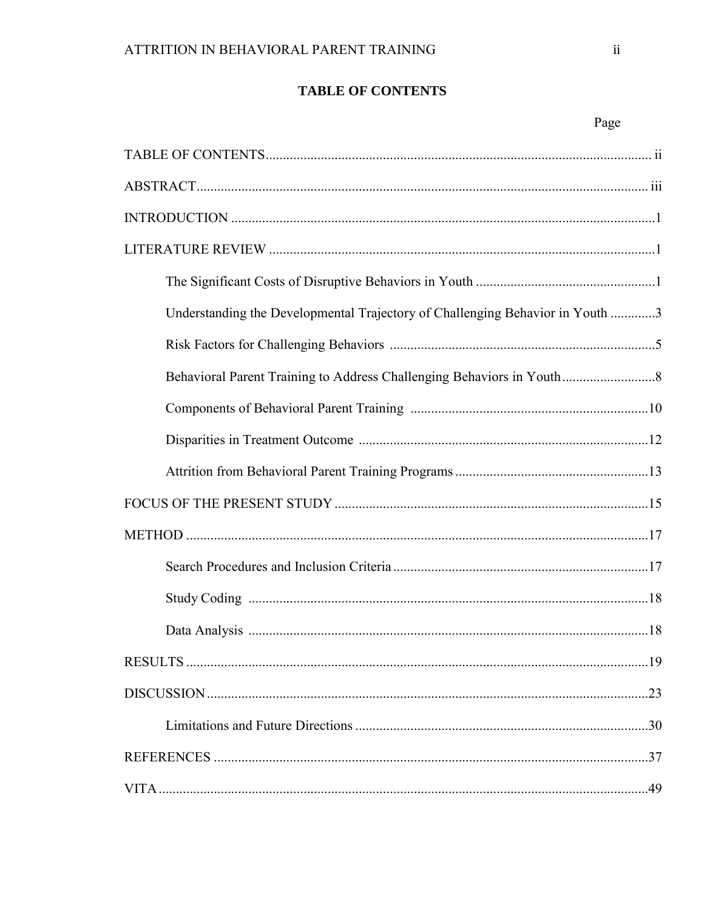# **TABLE OF CONTENTS**

| Understanding the Developmental Trajectory of Challenging Behavior in Youth 3 |
|-------------------------------------------------------------------------------|
|                                                                               |
| Behavioral Parent Training to Address Challenging Behaviors in Youth          |
|                                                                               |
|                                                                               |
|                                                                               |
|                                                                               |
|                                                                               |
|                                                                               |
|                                                                               |
|                                                                               |
|                                                                               |
|                                                                               |
|                                                                               |
|                                                                               |
|                                                                               |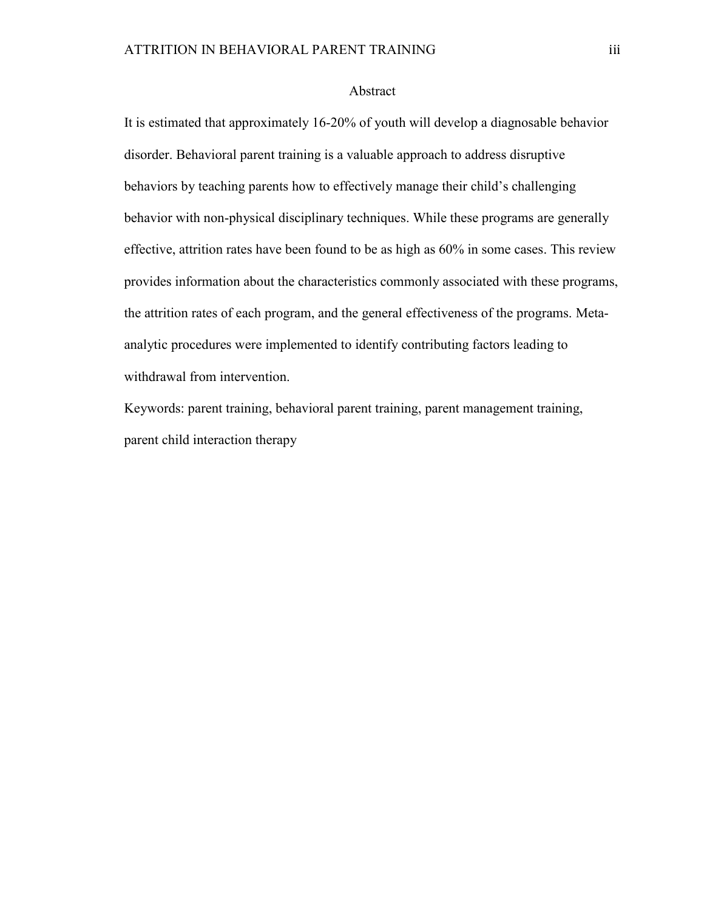#### Abstract

It is estimated that approximately 16-20% of youth will develop a diagnosable behavior disorder. Behavioral parent training is a valuable approach to address disruptive behaviors by teaching parents how to effectively manage their child's challenging behavior with non-physical disciplinary techniques. While these programs are generally effective, attrition rates have been found to be as high as 60% in some cases. This review provides information about the characteristics commonly associated with these programs, the attrition rates of each program, and the general effectiveness of the programs. Metaanalytic procedures were implemented to identify contributing factors leading to withdrawal from intervention.

Keywords: parent training, behavioral parent training, parent management training, parent child interaction therapy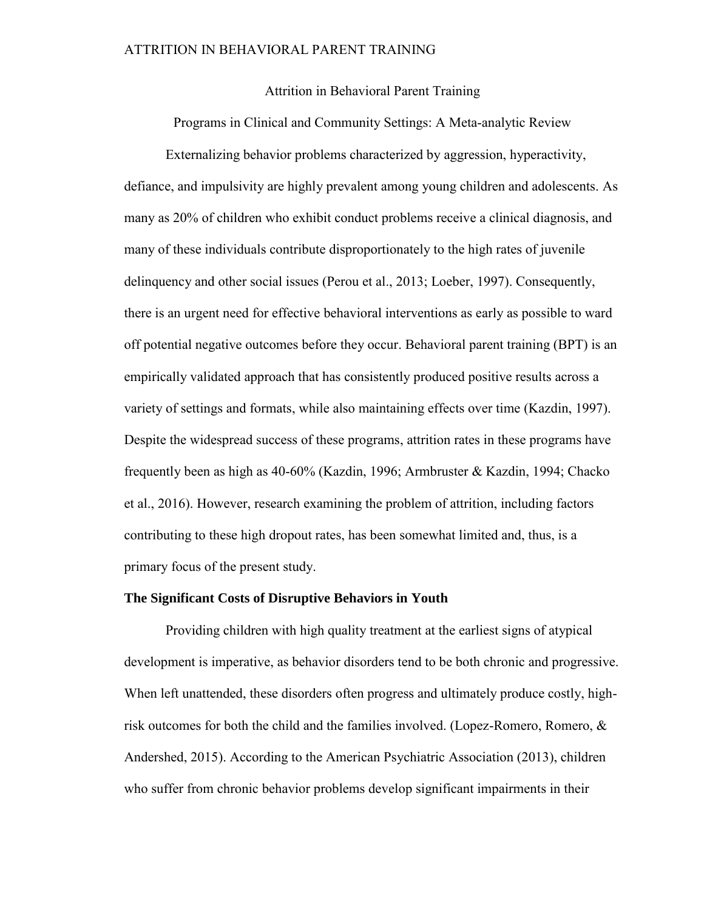#### Attrition in Behavioral Parent Training

Programs in Clinical and Community Settings: A Meta-analytic Review

Externalizing behavior problems characterized by aggression, hyperactivity, defiance, and impulsivity are highly prevalent among young children and adolescents. As many as 20% of children who exhibit conduct problems receive a clinical diagnosis, and many of these individuals contribute disproportionately to the high rates of juvenile delinquency and other social issues (Perou et al., 2013; Loeber, 1997). Consequently, there is an urgent need for effective behavioral interventions as early as possible to ward off potential negative outcomes before they occur. Behavioral parent training (BPT) is an empirically validated approach that has consistently produced positive results across a variety of settings and formats, while also maintaining effects over time (Kazdin, 1997). Despite the widespread success of these programs, attrition rates in these programs have frequently been as high as 40-60% (Kazdin, 1996; Armbruster & Kazdin, 1994; Chacko et al., 2016). However, research examining the problem of attrition, including factors contributing to these high dropout rates, has been somewhat limited and, thus, is a primary focus of the present study.

#### **The Significant Costs of Disruptive Behaviors in Youth**

Providing children with high quality treatment at the earliest signs of atypical development is imperative, as behavior disorders tend to be both chronic and progressive. When left unattended, these disorders often progress and ultimately produce costly, highrisk outcomes for both the child and the families involved. (Lopez-Romero, Romero, & Andershed, 2015). According to the American Psychiatric Association (2013), children who suffer from chronic behavior problems develop significant impairments in their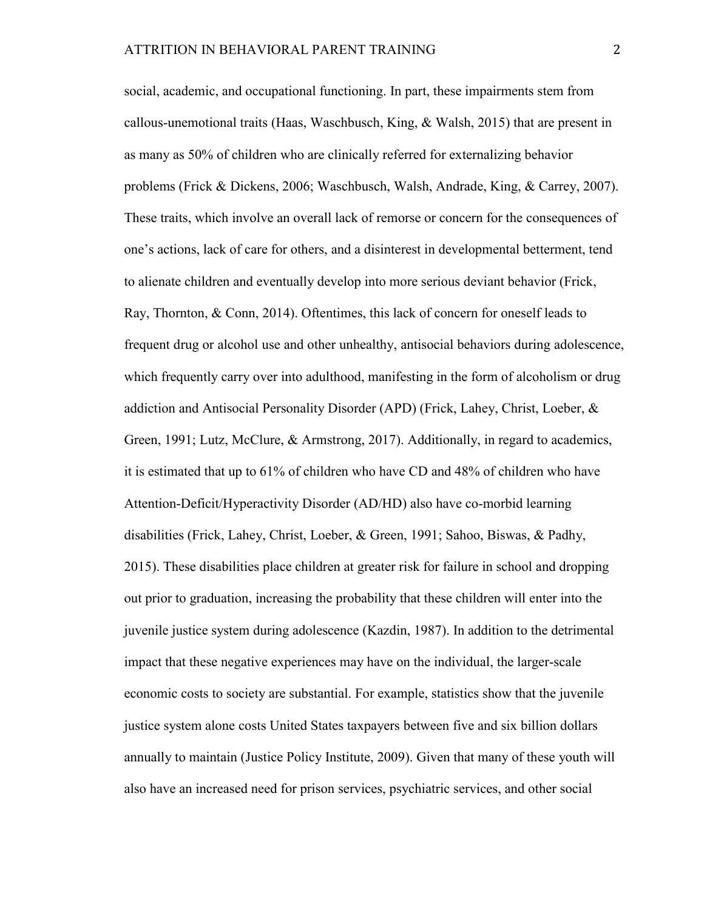social, academic, and occupational functioning. In part, these impairments stem from callous-unemotional traits (Haas, Waschbusch, King,  $\&$  Walsh, 2015) that are present in as many as 50% of children who are clinically referred for externalizing behavior problems (Frick & Dickens, 2006; Waschbusch, Walsh, Andrade, King, & Carrey, 2007). These traits, which involve an overall lack of remorse or concern for the consequences of one's actions, lack of care for others, and a disinterest in developmental betterment, tend to alienate children and eventually develop into more serious deviant behavior (Frick, Ray, Thornton, & Conn, 2014). Oftentimes, this lack of concern for oneself leads to frequent drug or alcohol use and other unhealthy, antisocial behaviors during adolescence, which frequently carry over into adulthood, manifesting in the form of alcoholism or drug addiction and Antisocial Personality Disorder (APD) (Frick, Lahey, Christ, Loeber, & Green, 1991; Lutz, McClure, & Armstrong, 2017). Additionally, in regard to academics, it is estimated that up to 61% of children who have CD and 48% of children who have Attention-Deficit/Hyperactivity Disorder (AD/HD) also have co-morbid learning disabilities (Frick, Lahey, Christ, Loeber, & Green, 1991; Sahoo, Biswas, & Padhy, 2015). These disabilities place children at greater risk for failure in school and dropping out prior to graduation, increasing the probability that these children will enter into the juvenile justice system during adolescence (Kazdin, 1987). In addition to the detrimental impact that these negative experiences may have on the individual, the larger-scale economic costs to society are substantial. For example, statistics show that the juvenile justice system alone costs United States taxpayers between five and six billion dollars annually to maintain (Justice Policy Institute, 2009). Given that many of these youth will also have an increased need for prison services, psychiatric services, and other social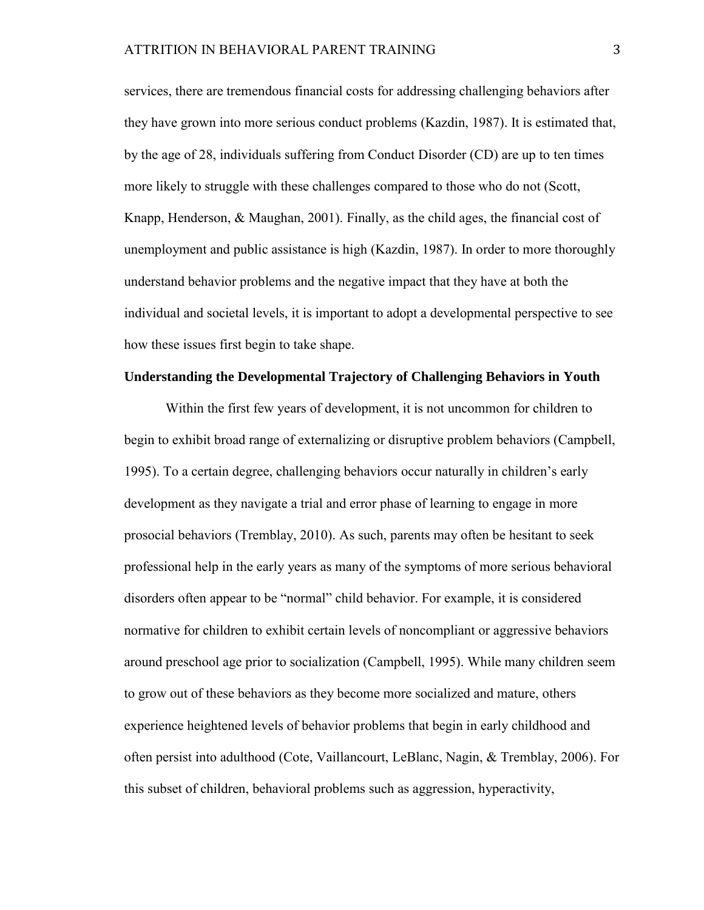services, there are tremendous financial costs for addressing challenging behaviors after they have grown into more serious conduct problems (Kazdin, 1987). It is estimated that, by the age of 28, individuals suffering from Conduct Disorder (CD) are up to ten times more likely to struggle with these challenges compared to those who do not (Scott, Knapp, Henderson, & Maughan, 2001). Finally, as the child ages, the financial cost of unemployment and public assistance is high (Kazdin, 1987). In order to more thoroughly understand behavior problems and the negative impact that they have at both the individual and societal levels, it is important to adopt a developmental perspective to see how these issues first begin to take shape.

#### **Understanding the Developmental Trajectory of Challenging Behaviors in Youth**

Within the first few years of development, it is not uncommon for children to begin to exhibit broad range of externalizing or disruptive problem behaviors (Campbell, 1995). To a certain degree, challenging behaviors occur naturally in children's early development as they navigate a trial and error phase of learning to engage in more prosocial behaviors (Tremblay, 2010). As such, parents may often be hesitant to seek professional help in the early years as many of the symptoms of more serious behavioral disorders often appear to be "normal" child behavior. For example, it is considered normative for children to exhibit certain levels of noncompliant or aggressive behaviors around preschool age prior to socialization (Campbell, 1995). While many children seem to grow out of these behaviors as they become more socialized and mature, others experience heightened levels of behavior problems that begin in early childhood and often persist into adulthood (Cote, Vaillancourt, LeBlanc, Nagin, & Tremblay, 2006). For this subset of children, behavioral problems such as aggression, hyperactivity,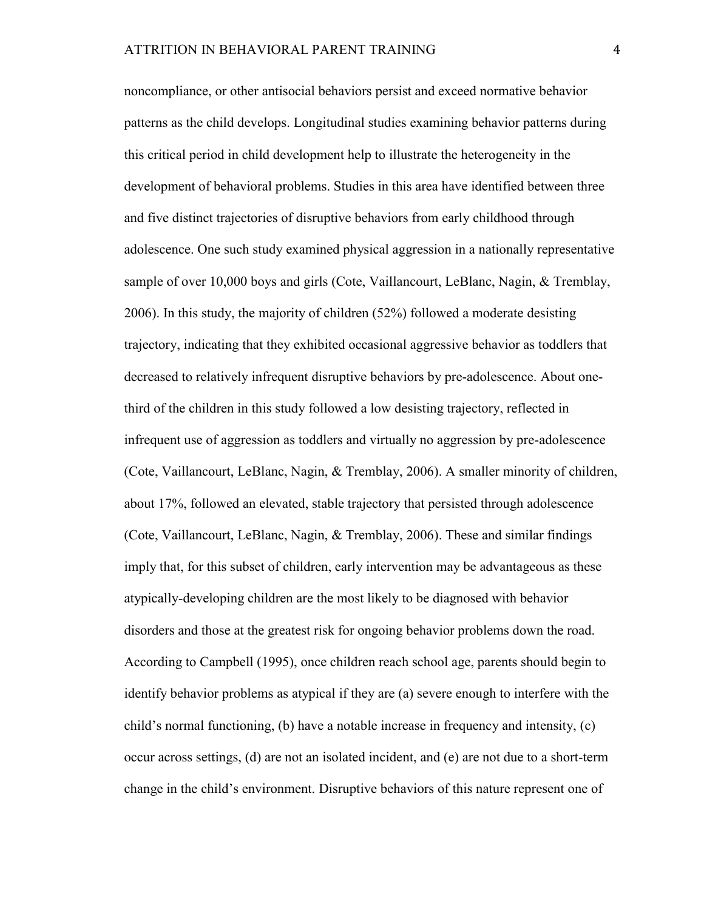noncompliance, or other antisocial behaviors persist and exceed normative behavior patterns as the child develops. Longitudinal studies examining behavior patterns during this critical period in child development help to illustrate the heterogeneity in the development of behavioral problems. Studies in this area have identified between three and five distinct trajectories of disruptive behaviors from early childhood through adolescence. One such study examined physical aggression in a nationally representative sample of over 10,000 boys and girls (Cote, Vaillancourt, LeBlanc, Nagin, & Tremblay, 2006). In this study, the majority of children (52%) followed a moderate desisting trajectory, indicating that they exhibited occasional aggressive behavior as toddlers that decreased to relatively infrequent disruptive behaviors by pre-adolescence. About onethird of the children in this study followed a low desisting trajectory, reflected in infrequent use of aggression as toddlers and virtually no aggression by pre-adolescence (Cote, Vaillancourt, LeBlanc, Nagin, & Tremblay, 2006). A smaller minority of children, about 17%, followed an elevated, stable trajectory that persisted through adolescence (Cote, Vaillancourt, LeBlanc, Nagin, & Tremblay, 2006). These and similar findings imply that, for this subset of children, early intervention may be advantageous as these atypically-developing children are the most likely to be diagnosed with behavior disorders and those at the greatest risk for ongoing behavior problems down the road. According to Campbell (1995), once children reach school age, parents should begin to identify behavior problems as atypical if they are (a) severe enough to interfere with the child's normal functioning, (b) have a notable increase in frequency and intensity, (c) occur across settings, (d) are not an isolated incident, and (e) are not due to a short-term change in the child's environment. Disruptive behaviors of this nature represent one of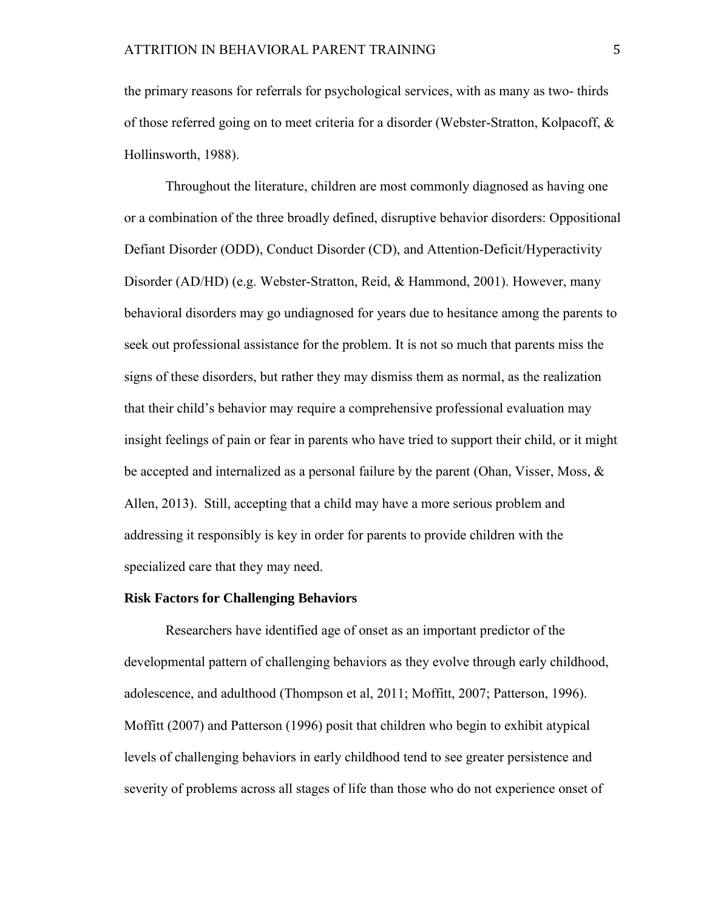the primary reasons for referrals for psychological services, with as many as two- thirds of those referred going on to meet criteria for a disorder (Webster-Stratton, Kolpacoff, & Hollinsworth, 1988).

Throughout the literature, children are most commonly diagnosed as having one or a combination of the three broadly defined, disruptive behavior disorders: Oppositional Defiant Disorder (ODD), Conduct Disorder (CD), and Attention-Deficit/Hyperactivity Disorder (AD/HD) (e.g. Webster-Stratton, Reid, & Hammond, 2001). However, many behavioral disorders may go undiagnosed for years due to hesitance among the parents to seek out professional assistance for the problem. It is not so much that parents miss the signs of these disorders, but rather they may dismiss them as normal, as the realization that their child's behavior may require a comprehensive professional evaluation may insight feelings of pain or fear in parents who have tried to support their child, or it might be accepted and internalized as a personal failure by the parent (Ohan, Visser, Moss,  $\&$ Allen, 2013). Still, accepting that a child may have a more serious problem and addressing it responsibly is key in order for parents to provide children with the specialized care that they may need.

#### **Risk Factors for Challenging Behaviors**

Researchers have identified age of onset as an important predictor of the developmental pattern of challenging behaviors as they evolve through early childhood, adolescence, and adulthood (Thompson et al, 2011; Moffitt, 2007; Patterson, 1996). Moffitt (2007) and Patterson (1996) posit that children who begin to exhibit atypical levels of challenging behaviors in early childhood tend to see greater persistence and severity of problems across all stages of life than those who do not experience onset of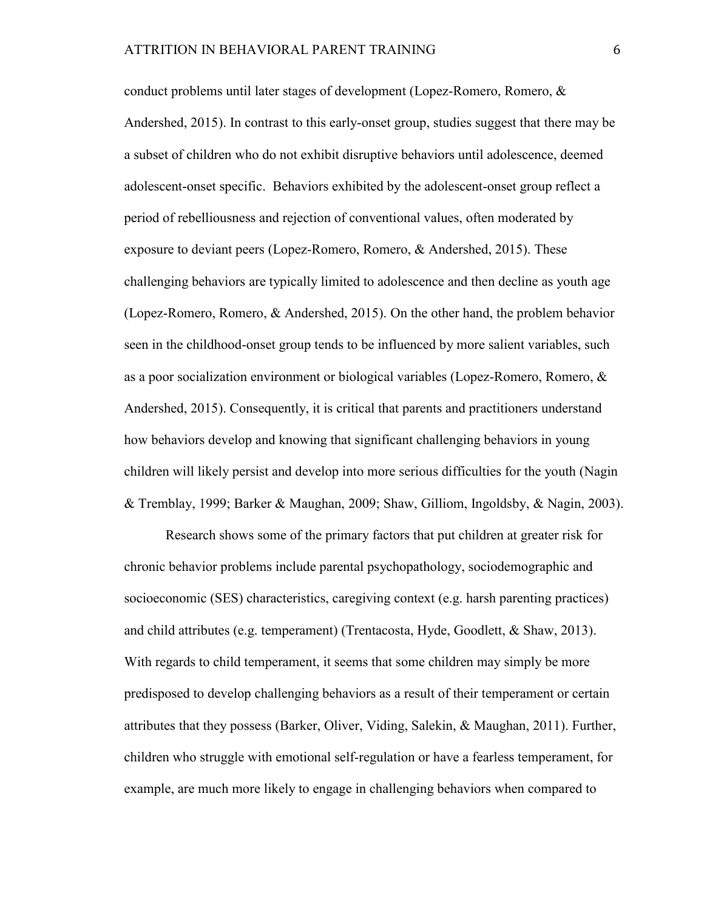conduct problems until later stages of development (Lopez-Romero, Romero, & Andershed, 2015). In contrast to this early-onset group, studies suggest that there may be a subset of children who do not exhibit disruptive behaviors until adolescence, deemed adolescent-onset specific. Behaviors exhibited by the adolescent-onset group reflect a period of rebelliousness and rejection of conventional values, often moderated by exposure to deviant peers (Lopez-Romero, Romero, & Andershed, 2015). These challenging behaviors are typically limited to adolescence and then decline as youth age (Lopez-Romero, Romero, & Andershed, 2015). On the other hand, the problem behavior seen in the childhood-onset group tends to be influenced by more salient variables, such as a poor socialization environment or biological variables (Lopez-Romero, Romero, & Andershed, 2015). Consequently, it is critical that parents and practitioners understand how behaviors develop and knowing that significant challenging behaviors in young children will likely persist and develop into more serious difficulties for the youth (Nagin & Tremblay, 1999; Barker & Maughan, 2009; Shaw, Gilliom, Ingoldsby, & Nagin, 2003).

Research shows some of the primary factors that put children at greater risk for chronic behavior problems include parental psychopathology, sociodemographic and socioeconomic (SES) characteristics, caregiving context (e.g. harsh parenting practices) and child attributes (e.g. temperament) (Trentacosta, Hyde, Goodlett, & Shaw, 2013). With regards to child temperament, it seems that some children may simply be more predisposed to develop challenging behaviors as a result of their temperament or certain attributes that they possess (Barker, Oliver, Viding, Salekin, & Maughan, 2011). Further, children who struggle with emotional self-regulation or have a fearless temperament, for example, are much more likely to engage in challenging behaviors when compared to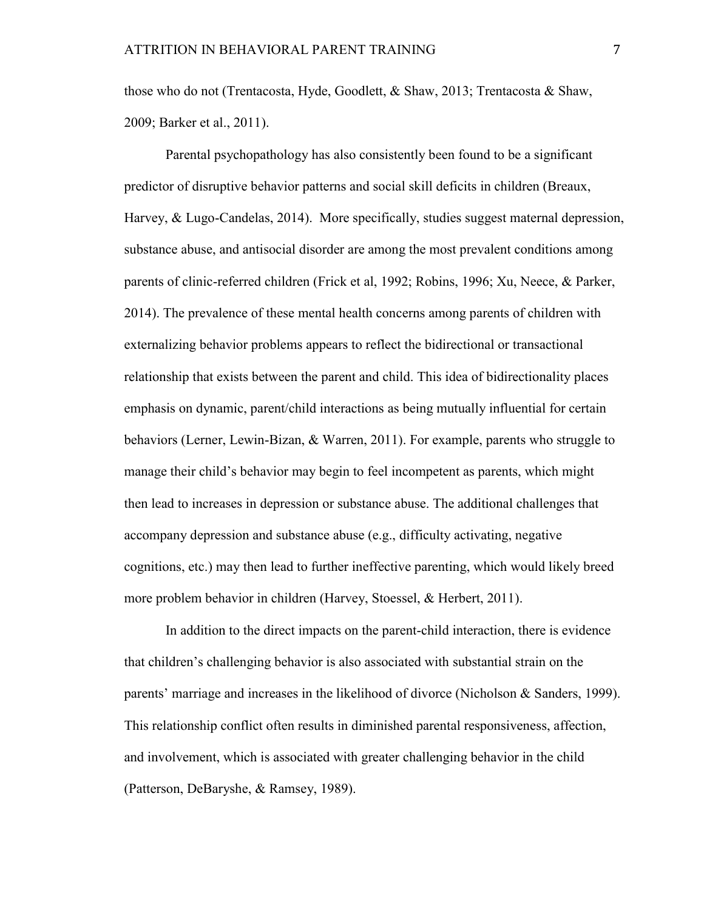those who do not (Trentacosta, Hyde, Goodlett, & Shaw, 2013; Trentacosta & Shaw, 2009; Barker et al., 2011).

Parental psychopathology has also consistently been found to be a significant predictor of disruptive behavior patterns and social skill deficits in children (Breaux, Harvey, & Lugo-Candelas, 2014). More specifically, studies suggest maternal depression, substance abuse, and antisocial disorder are among the most prevalent conditions among parents of clinic-referred children (Frick et al, 1992; Robins, 1996; Xu, Neece, & Parker, 2014). The prevalence of these mental health concerns among parents of children with externalizing behavior problems appears to reflect the bidirectional or transactional relationship that exists between the parent and child. This idea of bidirectionality places emphasis on dynamic, parent/child interactions as being mutually influential for certain behaviors (Lerner, Lewin-Bizan, & Warren, 2011). For example, parents who struggle to manage their child's behavior may begin to feel incompetent as parents, which might then lead to increases in depression or substance abuse. The additional challenges that accompany depression and substance abuse (e.g., difficulty activating, negative cognitions, etc.) may then lead to further ineffective parenting, which would likely breed more problem behavior in children (Harvey, Stoessel, & Herbert, 2011).

In addition to the direct impacts on the parent-child interaction, there is evidence that children's challenging behavior is also associated with substantial strain on the parents' marriage and increases in the likelihood of divorce (Nicholson & Sanders, 1999). This relationship conflict often results in diminished parental responsiveness, affection, and involvement, which is associated with greater challenging behavior in the child (Patterson, DeBaryshe, & Ramsey, 1989).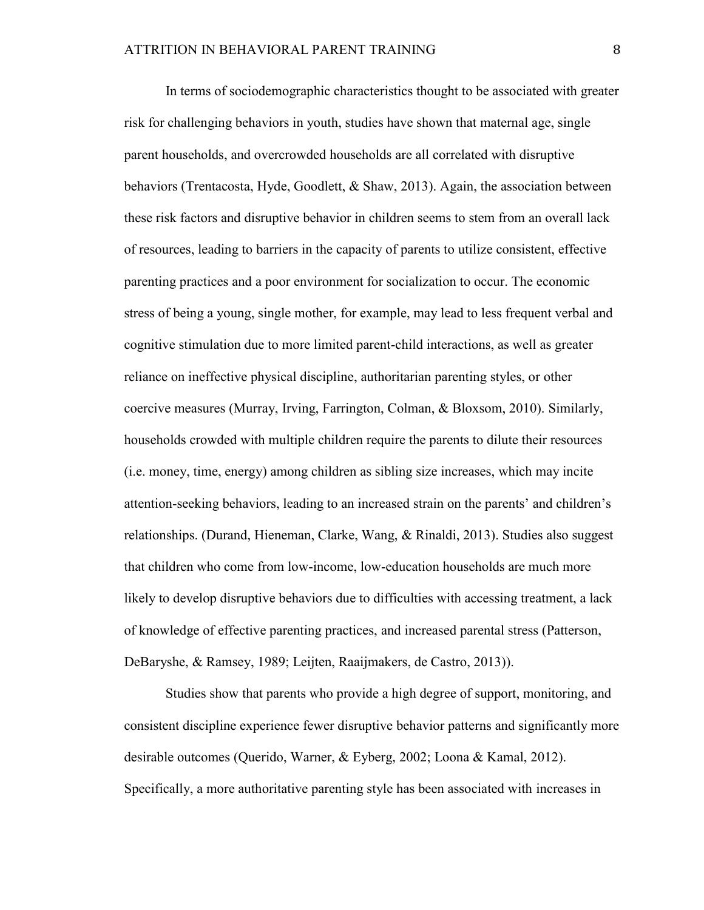In terms of sociodemographic characteristics thought to be associated with greater risk for challenging behaviors in youth, studies have shown that maternal age, single parent households, and overcrowded households are all correlated with disruptive behaviors (Trentacosta, Hyde, Goodlett, & Shaw, 2013). Again, the association between these risk factors and disruptive behavior in children seems to stem from an overall lack of resources, leading to barriers in the capacity of parents to utilize consistent, effective parenting practices and a poor environment for socialization to occur. The economic stress of being a young, single mother, for example, may lead to less frequent verbal and cognitive stimulation due to more limited parent-child interactions, as well as greater reliance on ineffective physical discipline, authoritarian parenting styles, or other coercive measures (Murray, Irving, Farrington, Colman, & Bloxsom, 2010). Similarly, households crowded with multiple children require the parents to dilute their resources (i.e. money, time, energy) among children as sibling size increases, which may incite attention-seeking behaviors, leading to an increased strain on the parents' and children's relationships. (Durand, Hieneman, Clarke, Wang, & Rinaldi, 2013). Studies also suggest that children who come from low-income, low-education households are much more likely to develop disruptive behaviors due to difficulties with accessing treatment, a lack of knowledge of effective parenting practices, and increased parental stress (Patterson, DeBaryshe, & Ramsey, 1989; Leijten, Raaijmakers, de Castro, 2013)).

Studies show that parents who provide a high degree of support, monitoring, and consistent discipline experience fewer disruptive behavior patterns and significantly more desirable outcomes (Querido, Warner, & Eyberg, 2002; Loona & Kamal, 2012). Specifically, a more authoritative parenting style has been associated with increases in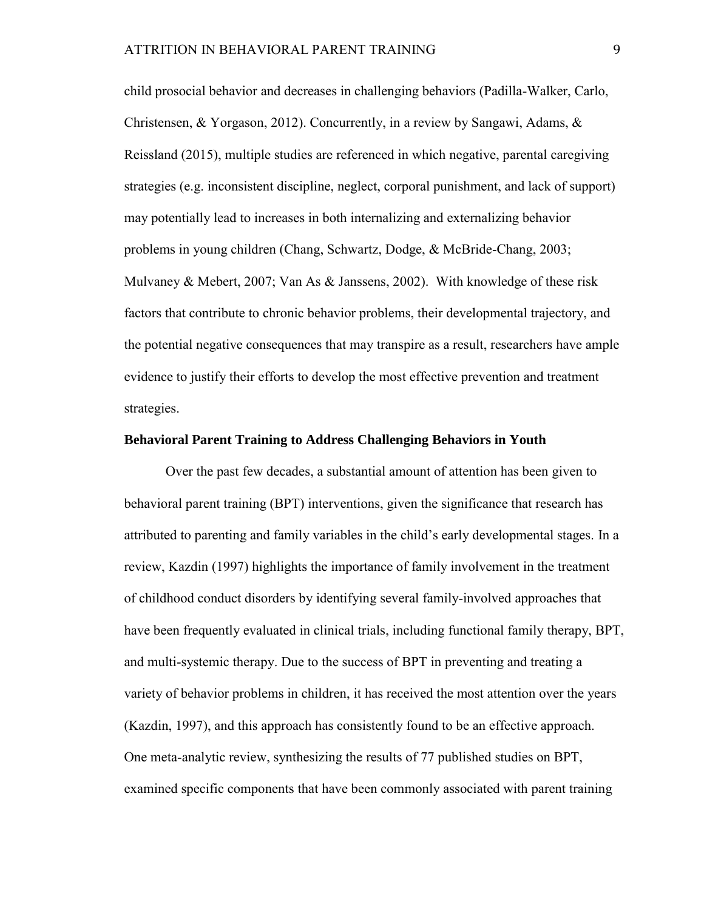child prosocial behavior and decreases in challenging behaviors (Padilla-Walker, Carlo, Christensen, & Yorgason, 2012). Concurrently, in a review by Sangawi, Adams, & Reissland (2015), multiple studies are referenced in which negative, parental caregiving strategies (e.g. inconsistent discipline, neglect, corporal punishment, and lack of support) may potentially lead to increases in both internalizing and externalizing behavior problems in young children (Chang, Schwartz, Dodge, & McBride-Chang, 2003; Mulvaney & Mebert, 2007; Van As & Janssens, 2002). With knowledge of these risk factors that contribute to chronic behavior problems, their developmental trajectory, and the potential negative consequences that may transpire as a result, researchers have ample evidence to justify their efforts to develop the most effective prevention and treatment strategies.

#### **Behavioral Parent Training to Address Challenging Behaviors in Youth**

Over the past few decades, a substantial amount of attention has been given to behavioral parent training (BPT) interventions, given the significance that research has attributed to parenting and family variables in the child's early developmental stages. In a review, Kazdin (1997) highlights the importance of family involvement in the treatment of childhood conduct disorders by identifying several family-involved approaches that have been frequently evaluated in clinical trials, including functional family therapy, BPT, and multi-systemic therapy. Due to the success of BPT in preventing and treating a variety of behavior problems in children, it has received the most attention over the years (Kazdin, 1997), and this approach has consistently found to be an effective approach. One meta-analytic review, synthesizing the results of 77 published studies on BPT, examined specific components that have been commonly associated with parent training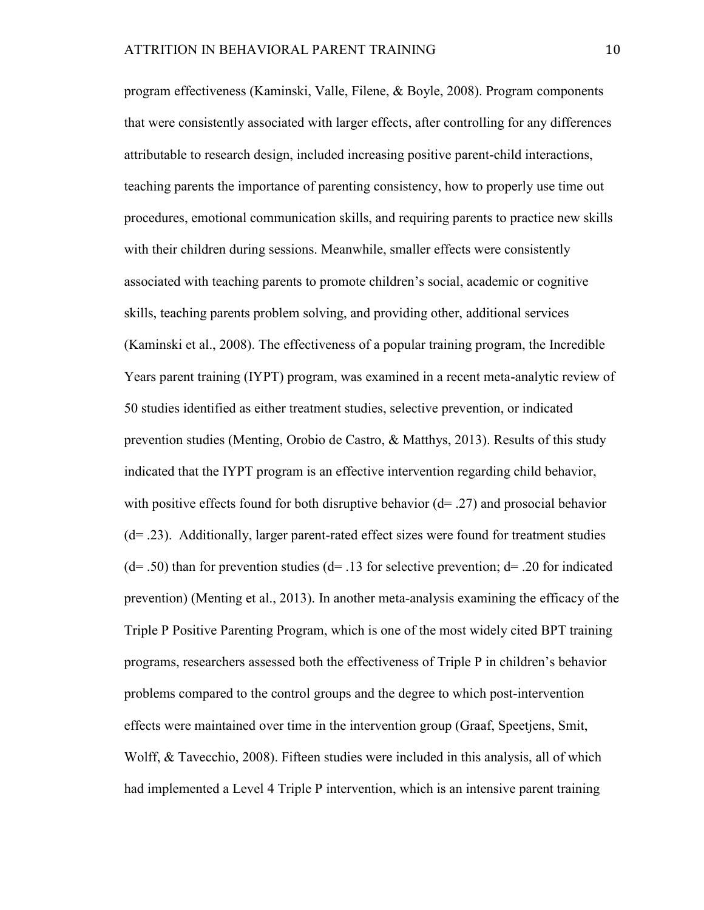program effectiveness (Kaminski, Valle, Filene, & Boyle, 2008). Program components that were consistently associated with larger effects, after controlling for any differences attributable to research design, included increasing positive parent-child interactions, teaching parents the importance of parenting consistency, how to properly use time out procedures, emotional communication skills, and requiring parents to practice new skills with their children during sessions. Meanwhile, smaller effects were consistently associated with teaching parents to promote children's social, academic or cognitive skills, teaching parents problem solving, and providing other, additional services (Kaminski et al., 2008). The effectiveness of a popular training program, the Incredible Years parent training (IYPT) program, was examined in a recent meta-analytic review of 50 studies identified as either treatment studies, selective prevention, or indicated prevention studies (Menting, Orobio de Castro, & Matthys, 2013). Results of this study indicated that the IYPT program is an effective intervention regarding child behavior, with positive effects found for both disruptive behavior  $(d= .27)$  and prosocial behavior (d= .23). Additionally, larger parent-rated effect sizes were found for treatment studies  $(d= .50)$  than for prevention studies  $(d= .13$  for selective prevention;  $d= .20$  for indicated prevention) (Menting et al., 2013). In another meta-analysis examining the efficacy of the Triple P Positive Parenting Program, which is one of the most widely cited BPT training programs, researchers assessed both the effectiveness of Triple P in children's behavior problems compared to the control groups and the degree to which post-intervention effects were maintained over time in the intervention group (Graaf, Speetjens, Smit, Wolff, & Tavecchio, 2008). Fifteen studies were included in this analysis, all of which had implemented a Level 4 Triple P intervention, which is an intensive parent training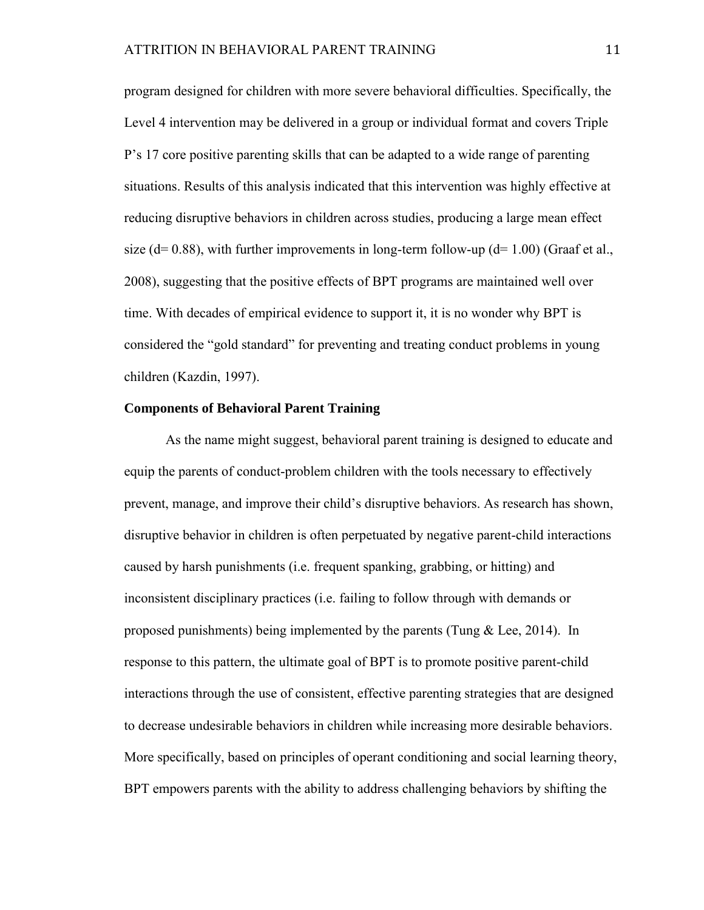program designed for children with more severe behavioral difficulties. Specifically, the Level 4 intervention may be delivered in a group or individual format and covers Triple P's 17 core positive parenting skills that can be adapted to a wide range of parenting situations. Results of this analysis indicated that this intervention was highly effective at reducing disruptive behaviors in children across studies, producing a large mean effect size ( $d= 0.88$ ), with further improvements in long-term follow-up ( $d= 1.00$ ) (Graaf et al., 2008), suggesting that the positive effects of BPT programs are maintained well over time. With decades of empirical evidence to support it, it is no wonder why BPT is considered the "gold standard" for preventing and treating conduct problems in young children (Kazdin, 1997).

#### **Components of Behavioral Parent Training**

As the name might suggest, behavioral parent training is designed to educate and equip the parents of conduct-problem children with the tools necessary to effectively prevent, manage, and improve their child's disruptive behaviors. As research has shown, disruptive behavior in children is often perpetuated by negative parent-child interactions caused by harsh punishments (i.e. frequent spanking, grabbing, or hitting) and inconsistent disciplinary practices (i.e. failing to follow through with demands or proposed punishments) being implemented by the parents (Tung  $& \text{Lee}, 2014$ ). In response to this pattern, the ultimate goal of BPT is to promote positive parent-child interactions through the use of consistent, effective parenting strategies that are designed to decrease undesirable behaviors in children while increasing more desirable behaviors. More specifically, based on principles of operant conditioning and social learning theory, BPT empowers parents with the ability to address challenging behaviors by shifting the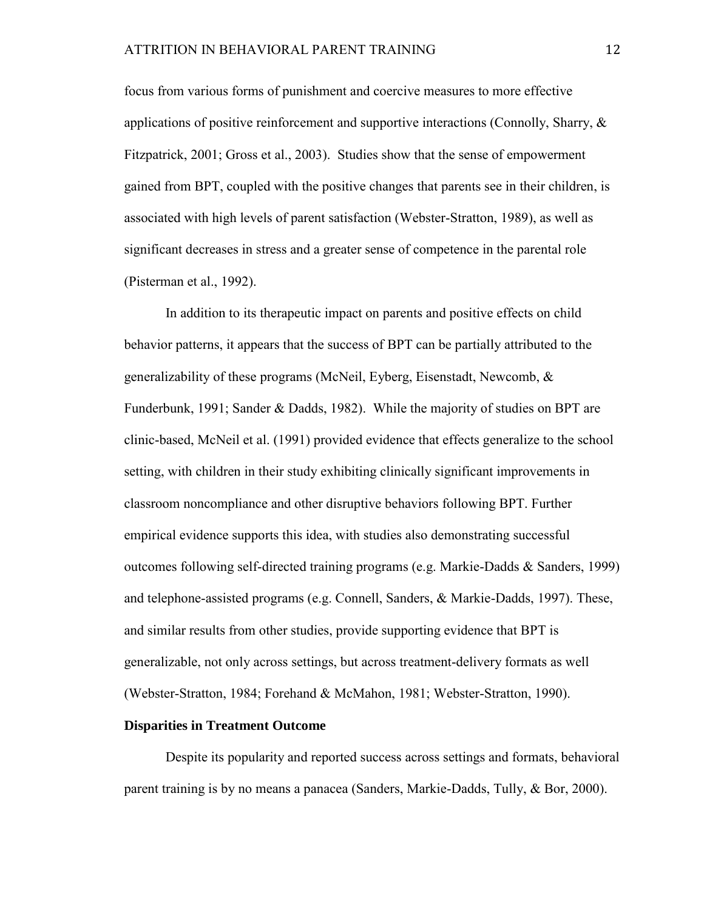focus from various forms of punishment and coercive measures to more effective applications of positive reinforcement and supportive interactions (Connolly, Sharry,  $\&$ Fitzpatrick, 2001; Gross et al., 2003). Studies show that the sense of empowerment gained from BPT, coupled with the positive changes that parents see in their children, is associated with high levels of parent satisfaction (Webster-Stratton, 1989), as well as significant decreases in stress and a greater sense of competence in the parental role (Pisterman et al., 1992).

In addition to its therapeutic impact on parents and positive effects on child behavior patterns, it appears that the success of BPT can be partially attributed to the generalizability of these programs (McNeil, Eyberg, Eisenstadt, Newcomb, & Funderbunk, 1991; Sander & Dadds, 1982). While the majority of studies on BPT are clinic-based, McNeil et al. (1991) provided evidence that effects generalize to the school setting, with children in their study exhibiting clinically significant improvements in classroom noncompliance and other disruptive behaviors following BPT. Further empirical evidence supports this idea, with studies also demonstrating successful outcomes following self-directed training programs (e.g. Markie-Dadds & Sanders, 1999) and telephone-assisted programs (e.g. Connell, Sanders, & Markie-Dadds, 1997). These, and similar results from other studies, provide supporting evidence that BPT is generalizable, not only across settings, but across treatment-delivery formats as well (Webster-Stratton, 1984; Forehand & McMahon, 1981; Webster-Stratton, 1990).

#### **Disparities in Treatment Outcome**

Despite its popularity and reported success across settings and formats, behavioral parent training is by no means a panacea (Sanders, Markie-Dadds, Tully, & Bor, 2000).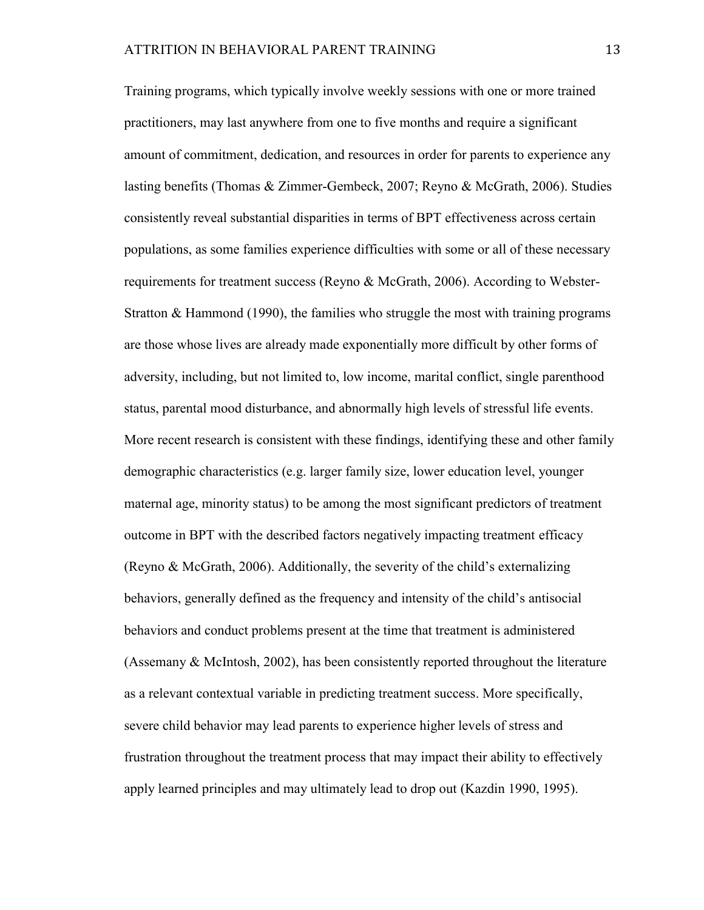Training programs, which typically involve weekly sessions with one or more trained practitioners, may last anywhere from one to five months and require a significant amount of commitment, dedication, and resources in order for parents to experience any lasting benefits (Thomas & Zimmer-Gembeck, 2007; Reyno & McGrath, 2006). Studies consistently reveal substantial disparities in terms of BPT effectiveness across certain populations, as some families experience difficulties with some or all of these necessary requirements for treatment success (Reyno & McGrath, 2006). According to Webster-Stratton & Hammond (1990), the families who struggle the most with training programs are those whose lives are already made exponentially more difficult by other forms of adversity, including, but not limited to, low income, marital conflict, single parenthood status, parental mood disturbance, and abnormally high levels of stressful life events. More recent research is consistent with these findings, identifying these and other family demographic characteristics (e.g. larger family size, lower education level, younger maternal age, minority status) to be among the most significant predictors of treatment outcome in BPT with the described factors negatively impacting treatment efficacy (Reyno & McGrath, 2006). Additionally, the severity of the child's externalizing behaviors, generally defined as the frequency and intensity of the child's antisocial behaviors and conduct problems present at the time that treatment is administered (Assemany & McIntosh, 2002), has been consistently reported throughout the literature as a relevant contextual variable in predicting treatment success. More specifically, severe child behavior may lead parents to experience higher levels of stress and frustration throughout the treatment process that may impact their ability to effectively apply learned principles and may ultimately lead to drop out (Kazdin 1990, 1995).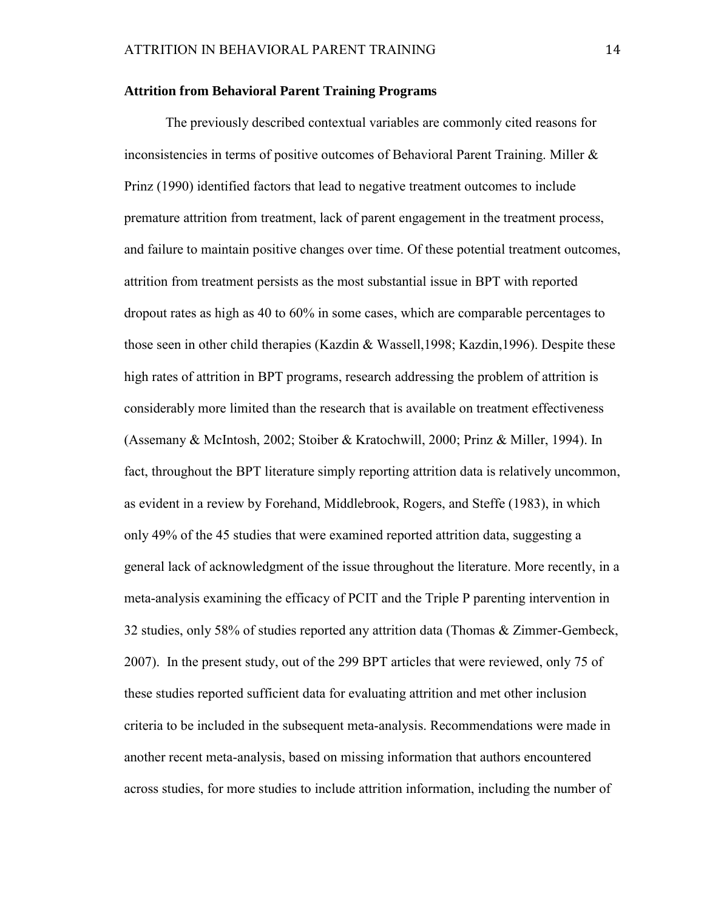#### **Attrition from Behavioral Parent Training Programs**

The previously described contextual variables are commonly cited reasons for inconsistencies in terms of positive outcomes of Behavioral Parent Training. Miller & Prinz (1990) identified factors that lead to negative treatment outcomes to include premature attrition from treatment, lack of parent engagement in the treatment process, and failure to maintain positive changes over time. Of these potential treatment outcomes, attrition from treatment persists as the most substantial issue in BPT with reported dropout rates as high as 40 to 60% in some cases, which are comparable percentages to those seen in other child therapies (Kazdin & Wassell,1998; Kazdin,1996). Despite these high rates of attrition in BPT programs, research addressing the problem of attrition is considerably more limited than the research that is available on treatment effectiveness (Assemany & McIntosh, 2002; Stoiber & Kratochwill, 2000; Prinz & Miller, 1994). In fact, throughout the BPT literature simply reporting attrition data is relatively uncommon, as evident in a review by Forehand, Middlebrook, Rogers, and Steffe (1983), in which only 49% of the 45 studies that were examined reported attrition data, suggesting a general lack of acknowledgment of the issue throughout the literature. More recently, in a meta-analysis examining the efficacy of PCIT and the Triple P parenting intervention in 32 studies, only 58% of studies reported any attrition data (Thomas & Zimmer-Gembeck, 2007). In the present study, out of the 299 BPT articles that were reviewed, only 75 of these studies reported sufficient data for evaluating attrition and met other inclusion criteria to be included in the subsequent meta-analysis. Recommendations were made in another recent meta-analysis, based on missing information that authors encountered across studies, for more studies to include attrition information, including the number of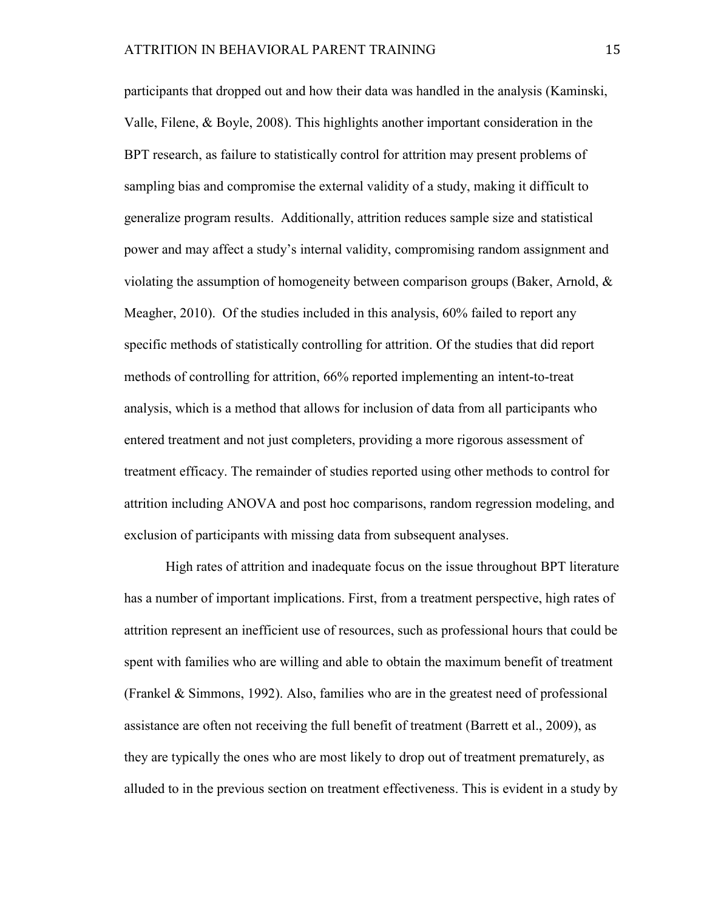participants that dropped out and how their data was handled in the analysis (Kaminski, Valle, Filene, & Boyle, 2008). This highlights another important consideration in the BPT research, as failure to statistically control for attrition may present problems of sampling bias and compromise the external validity of a study, making it difficult to generalize program results. Additionally, attrition reduces sample size and statistical power and may affect a study's internal validity, compromising random assignment and violating the assumption of homogeneity between comparison groups (Baker, Arnold, & Meagher, 2010). Of the studies included in this analysis, 60% failed to report any specific methods of statistically controlling for attrition. Of the studies that did report methods of controlling for attrition, 66% reported implementing an intent-to-treat analysis, which is a method that allows for inclusion of data from all participants who entered treatment and not just completers, providing a more rigorous assessment of treatment efficacy. The remainder of studies reported using other methods to control for attrition including ANOVA and post hoc comparisons, random regression modeling, and exclusion of participants with missing data from subsequent analyses.

High rates of attrition and inadequate focus on the issue throughout BPT literature has a number of important implications. First, from a treatment perspective, high rates of attrition represent an inefficient use of resources, such as professional hours that could be spent with families who are willing and able to obtain the maximum benefit of treatment (Frankel & Simmons, 1992). Also, families who are in the greatest need of professional assistance are often not receiving the full benefit of treatment (Barrett et al., 2009), as they are typically the ones who are most likely to drop out of treatment prematurely, as alluded to in the previous section on treatment effectiveness. This is evident in a study by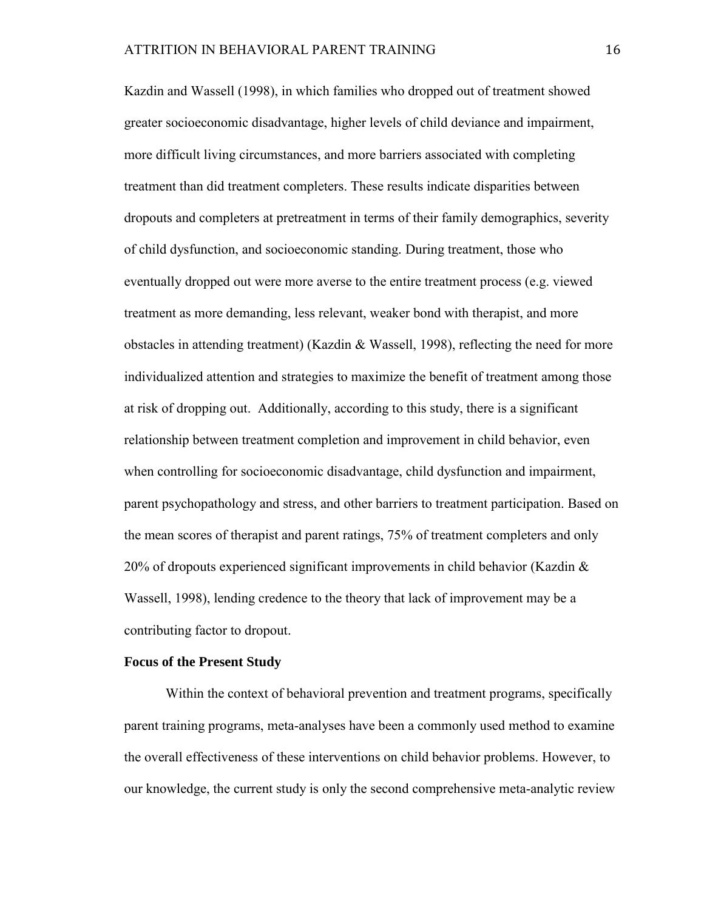Kazdin and Wassell (1998), in which families who dropped out of treatment showed greater socioeconomic disadvantage, higher levels of child deviance and impairment, more difficult living circumstances, and more barriers associated with completing treatment than did treatment completers. These results indicate disparities between dropouts and completers at pretreatment in terms of their family demographics, severity of child dysfunction, and socioeconomic standing. During treatment, those who eventually dropped out were more averse to the entire treatment process (e.g. viewed treatment as more demanding, less relevant, weaker bond with therapist, and more obstacles in attending treatment) (Kazdin & Wassell, 1998), reflecting the need for more individualized attention and strategies to maximize the benefit of treatment among those at risk of dropping out. Additionally, according to this study, there is a significant relationship between treatment completion and improvement in child behavior, even when controlling for socioeconomic disadvantage, child dysfunction and impairment, parent psychopathology and stress, and other barriers to treatment participation. Based on the mean scores of therapist and parent ratings, 75% of treatment completers and only 20% of dropouts experienced significant improvements in child behavior (Kazdin  $\&$ Wassell, 1998), lending credence to the theory that lack of improvement may be a contributing factor to dropout.

#### **Focus of the Present Study**

Within the context of behavioral prevention and treatment programs, specifically parent training programs, meta-analyses have been a commonly used method to examine the overall effectiveness of these interventions on child behavior problems. However, to our knowledge, the current study is only the second comprehensive meta-analytic review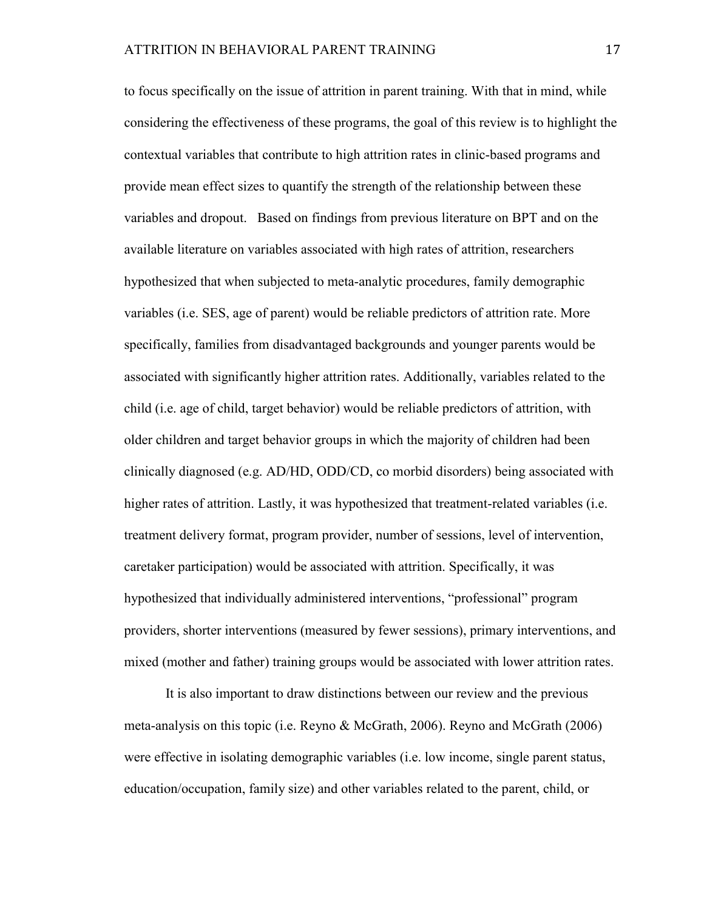to focus specifically on the issue of attrition in parent training. With that in mind, while considering the effectiveness of these programs, the goal of this review is to highlight the contextual variables that contribute to high attrition rates in clinic-based programs and provide mean effect sizes to quantify the strength of the relationship between these variables and dropout. Based on findings from previous literature on BPT and on the available literature on variables associated with high rates of attrition, researchers hypothesized that when subjected to meta-analytic procedures, family demographic variables (i.e. SES, age of parent) would be reliable predictors of attrition rate. More specifically, families from disadvantaged backgrounds and younger parents would be associated with significantly higher attrition rates. Additionally, variables related to the child (i.e. age of child, target behavior) would be reliable predictors of attrition, with older children and target behavior groups in which the majority of children had been clinically diagnosed (e.g. AD/HD, ODD/CD, co morbid disorders) being associated with higher rates of attrition. Lastly, it was hypothesized that treatment-related variables (i.e. treatment delivery format, program provider, number of sessions, level of intervention, caretaker participation) would be associated with attrition. Specifically, it was hypothesized that individually administered interventions, "professional" program providers, shorter interventions (measured by fewer sessions), primary interventions, and mixed (mother and father) training groups would be associated with lower attrition rates.

It is also important to draw distinctions between our review and the previous meta-analysis on this topic (i.e. Reyno & McGrath, 2006). Reyno and McGrath (2006) were effective in isolating demographic variables (i.e. low income, single parent status, education/occupation, family size) and other variables related to the parent, child, or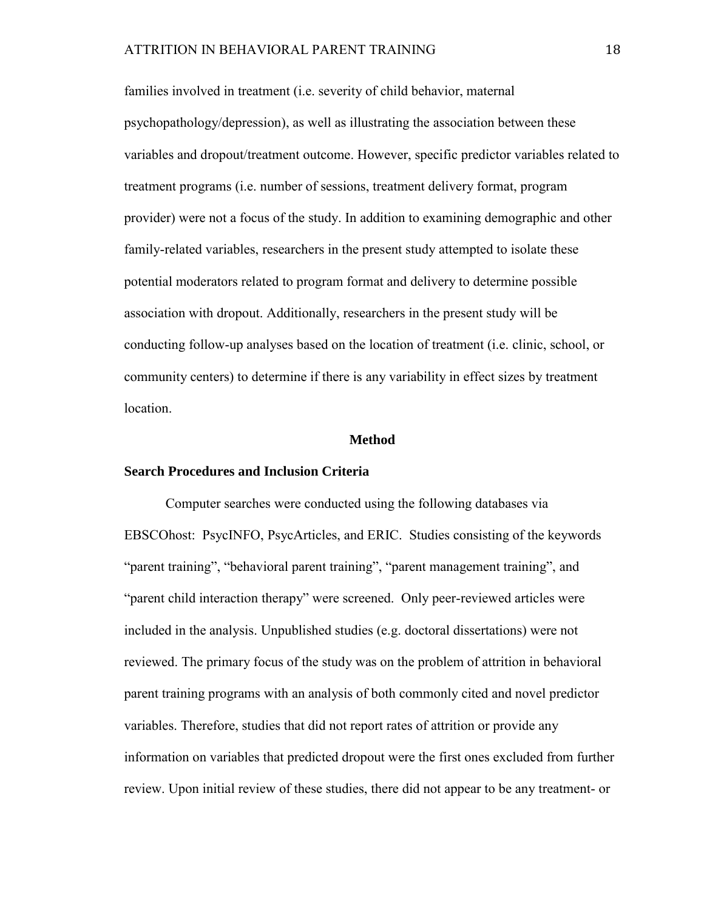families involved in treatment (i.e. severity of child behavior, maternal psychopathology/depression), as well as illustrating the association between these variables and dropout/treatment outcome. However, specific predictor variables related to treatment programs (i.e. number of sessions, treatment delivery format, program provider) were not a focus of the study. In addition to examining demographic and other family-related variables, researchers in the present study attempted to isolate these potential moderators related to program format and delivery to determine possible association with dropout. Additionally, researchers in the present study will be conducting follow-up analyses based on the location of treatment (i.e. clinic, school, or community centers) to determine if there is any variability in effect sizes by treatment location.

#### **Method**

#### **Search Procedures and Inclusion Criteria**

Computer searches were conducted using the following databases via EBSCOhost: PsycINFO, PsycArticles, and ERIC. Studies consisting of the keywords "parent training", "behavioral parent training", "parent management training", and "parent child interaction therapy" were screened. Only peer-reviewed articles were included in the analysis. Unpublished studies (e.g. doctoral dissertations) were not reviewed. The primary focus of the study was on the problem of attrition in behavioral parent training programs with an analysis of both commonly cited and novel predictor variables. Therefore, studies that did not report rates of attrition or provide any information on variables that predicted dropout were the first ones excluded from further review. Upon initial review of these studies, there did not appear to be any treatment- or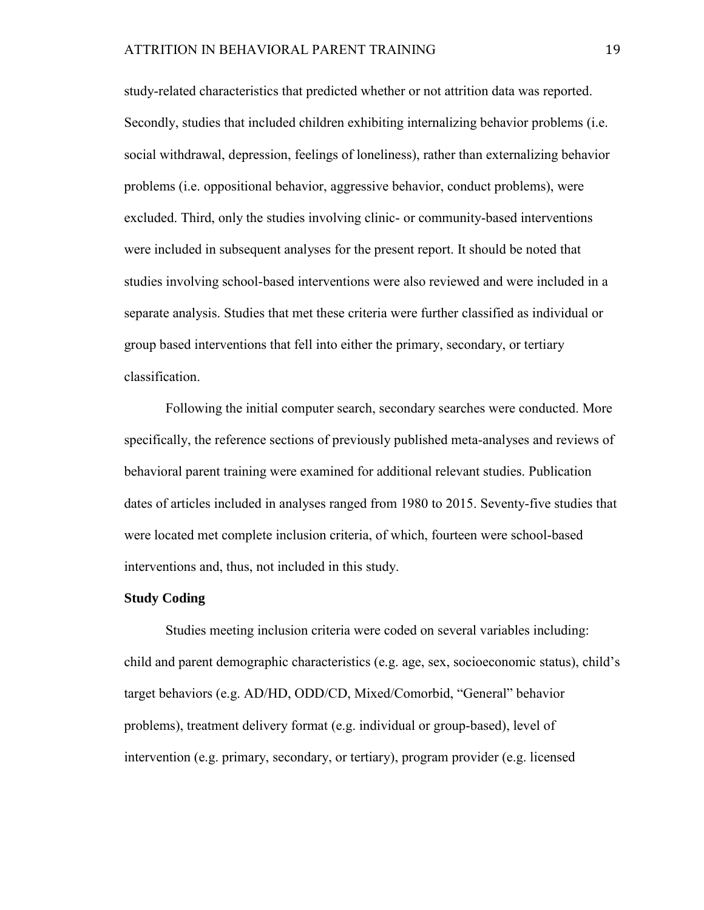study-related characteristics that predicted whether or not attrition data was reported. Secondly, studies that included children exhibiting internalizing behavior problems (i.e. social withdrawal, depression, feelings of loneliness), rather than externalizing behavior problems (i.e. oppositional behavior, aggressive behavior, conduct problems), were excluded. Third, only the studies involving clinic- or community-based interventions were included in subsequent analyses for the present report. It should be noted that studies involving school-based interventions were also reviewed and were included in a separate analysis. Studies that met these criteria were further classified as individual or group based interventions that fell into either the primary, secondary, or tertiary classification.

Following the initial computer search, secondary searches were conducted. More specifically, the reference sections of previously published meta-analyses and reviews of behavioral parent training were examined for additional relevant studies. Publication dates of articles included in analyses ranged from 1980 to 2015. Seventy-five studies that were located met complete inclusion criteria, of which, fourteen were school-based interventions and, thus, not included in this study.

#### **Study Coding**

Studies meeting inclusion criteria were coded on several variables including: child and parent demographic characteristics (e.g. age, sex, socioeconomic status), child's target behaviors (e.g. AD/HD, ODD/CD, Mixed/Comorbid, "General" behavior problems), treatment delivery format (e.g. individual or group-based), level of intervention (e.g. primary, secondary, or tertiary), program provider (e.g. licensed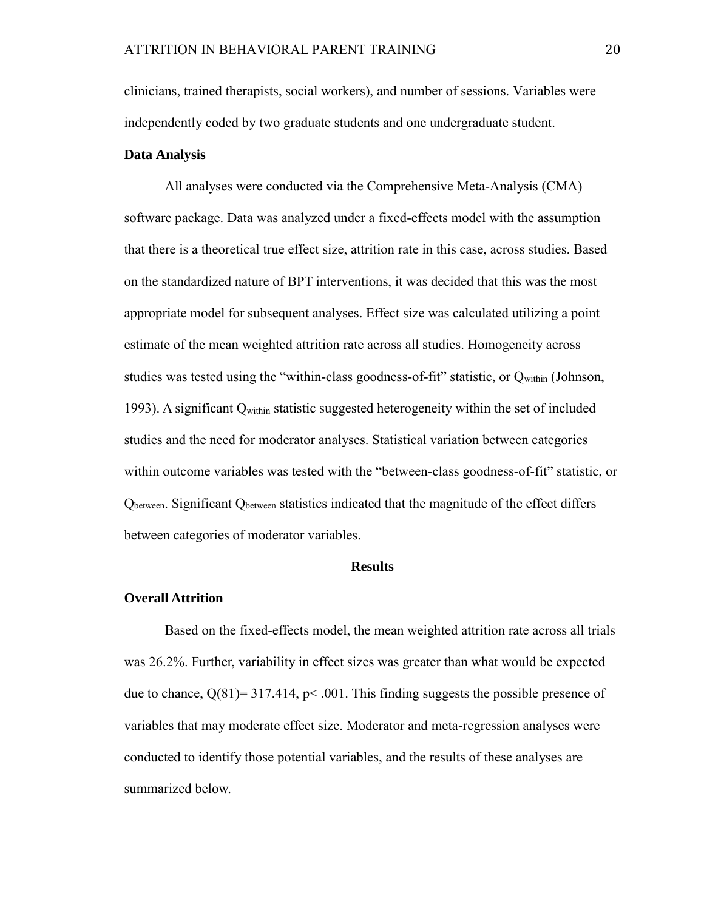clinicians, trained therapists, social workers), and number of sessions. Variables were independently coded by two graduate students and one undergraduate student.

#### **Data Analysis**

All analyses were conducted via the Comprehensive Meta-Analysis (CMA) software package. Data was analyzed under a fixed-effects model with the assumption that there is a theoretical true effect size, attrition rate in this case, across studies. Based on the standardized nature of BPT interventions, it was decided that this was the most appropriate model for subsequent analyses. Effect size was calculated utilizing a point estimate of the mean weighted attrition rate across all studies. Homogeneity across studies was tested using the "within-class goodness-of-fit" statistic, or  $Q_{\text{within}}$  (Johnson, 1993). A significant Qwithin statistic suggested heterogeneity within the set of included studies and the need for moderator analyses. Statistical variation between categories within outcome variables was tested with the "between-class goodness-of-fit" statistic, or Qbetween. Significant Qbetween statistics indicated that the magnitude of the effect differs between categories of moderator variables.

#### **Results**

#### **Overall Attrition**

Based on the fixed-effects model, the mean weighted attrition rate across all trials was 26.2%. Further, variability in effect sizes was greater than what would be expected due to chance,  $Q(81) = 317.414$ ,  $p < .001$ . This finding suggests the possible presence of variables that may moderate effect size. Moderator and meta-regression analyses were conducted to identify those potential variables, and the results of these analyses are summarized below.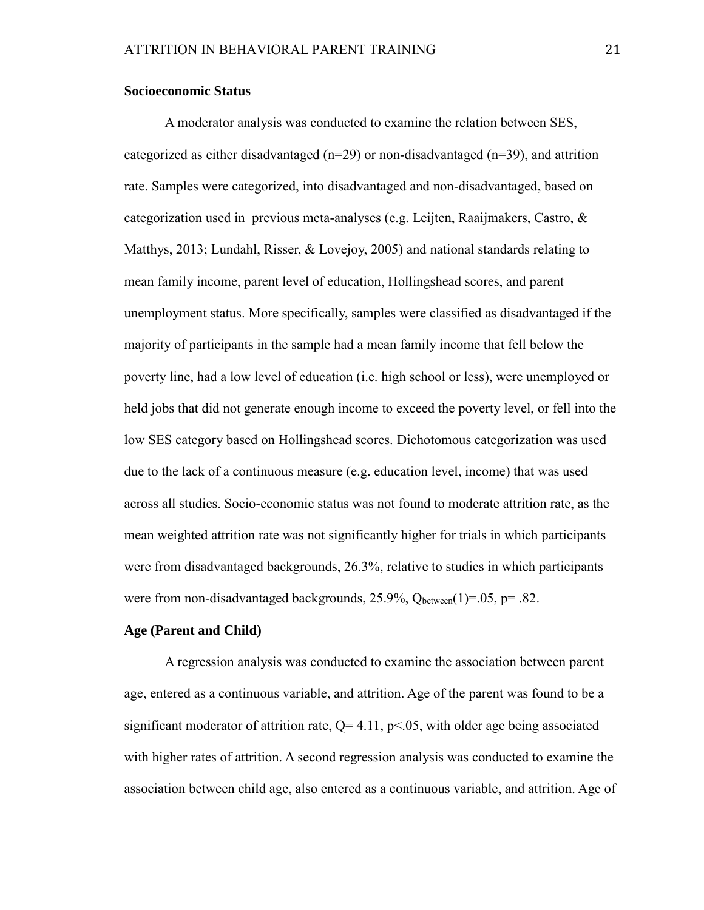#### **Socioeconomic Status**

A moderator analysis was conducted to examine the relation between SES, categorized as either disadvantaged  $(n=29)$  or non-disadvantaged  $(n=39)$ , and attrition rate. Samples were categorized, into disadvantaged and non-disadvantaged, based on categorization used in previous meta-analyses (e.g. Leijten, Raaijmakers, Castro, & Matthys, 2013; Lundahl, Risser, & Lovejoy, 2005) and national standards relating to mean family income, parent level of education, Hollingshead scores, and parent unemployment status. More specifically, samples were classified as disadvantaged if the majority of participants in the sample had a mean family income that fell below the poverty line, had a low level of education (i.e. high school or less), were unemployed or held jobs that did not generate enough income to exceed the poverty level, or fell into the low SES category based on Hollingshead scores. Dichotomous categorization was used due to the lack of a continuous measure (e.g. education level, income) that was used across all studies. Socio-economic status was not found to moderate attrition rate, as the mean weighted attrition rate was not significantly higher for trials in which participants were from disadvantaged backgrounds, 26.3%, relative to studies in which participants were from non-disadvantaged backgrounds,  $25.9\%$ ,  $Q_{between}(1)=.05$ ,  $p=.82$ .

#### **Age (Parent and Child)**

A regression analysis was conducted to examine the association between parent age, entered as a continuous variable, and attrition. Age of the parent was found to be a significant moderator of attrition rate,  $Q = 4.11$ ,  $p < 0.05$ , with older age being associated with higher rates of attrition. A second regression analysis was conducted to examine the association between child age, also entered as a continuous variable, and attrition. Age of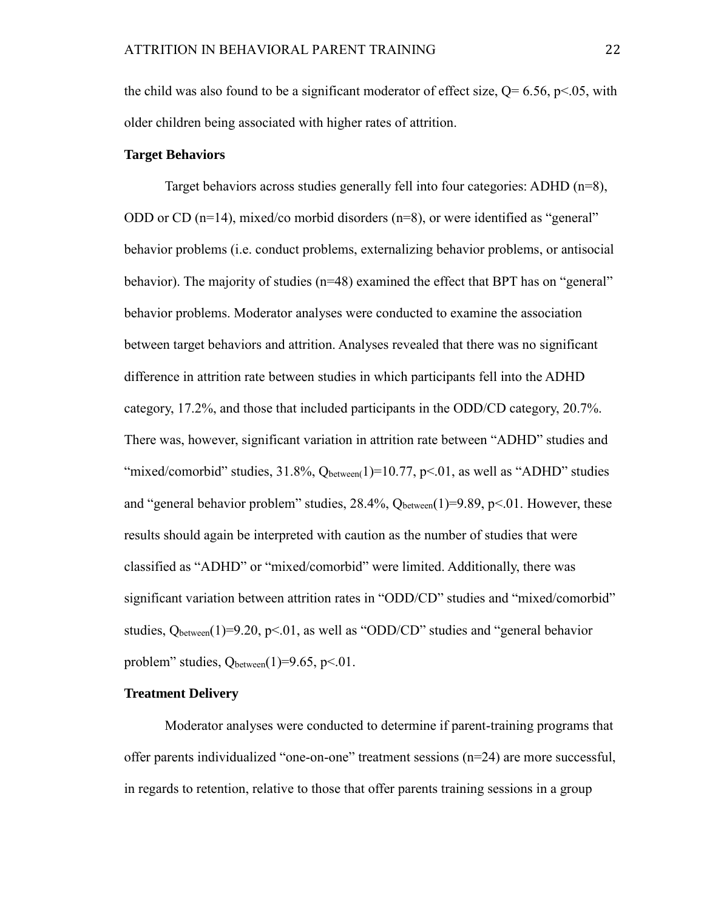the child was also found to be a significant moderator of effect size,  $Q= 6.56$ ,  $p<.05$ , with older children being associated with higher rates of attrition.

#### **Target Behaviors**

Target behaviors across studies generally fell into four categories: ADHD (n=8), ODD or CD ( $n=14$ ), mixed/co morbid disorders ( $n=8$ ), or were identified as "general" behavior problems (i.e. conduct problems, externalizing behavior problems, or antisocial behavior). The majority of studies (n=48) examined the effect that BPT has on "general" behavior problems. Moderator analyses were conducted to examine the association between target behaviors and attrition. Analyses revealed that there was no significant difference in attrition rate between studies in which participants fell into the ADHD category, 17.2%, and those that included participants in the ODD/CD category, 20.7%. There was, however, significant variation in attrition rate between "ADHD" studies and "mixed/comorbid" studies,  $31.8\%$ ,  $Q_{between}(1)=10.77$ ,  $p<0.01$ , as well as "ADHD" studies and "general behavior problem" studies,  $28.4\%$ ,  $Q_{between}(1)=9.89$ ,  $p<.01$ . However, these results should again be interpreted with caution as the number of studies that were classified as "ADHD" or "mixed/comorbid" were limited. Additionally, there was significant variation between attrition rates in "ODD/CD" studies and "mixed/comorbid" studies,  $Q_{between}(1)=9.20$ ,  $p<01$ , as well as "ODD/CD" studies and "general behavior problem" studies,  $Q_{between}(1)=9.65$ , p<.01.

#### **Treatment Delivery**

Moderator analyses were conducted to determine if parent-training programs that offer parents individualized "one-on-one" treatment sessions (n=24) are more successful, in regards to retention, relative to those that offer parents training sessions in a group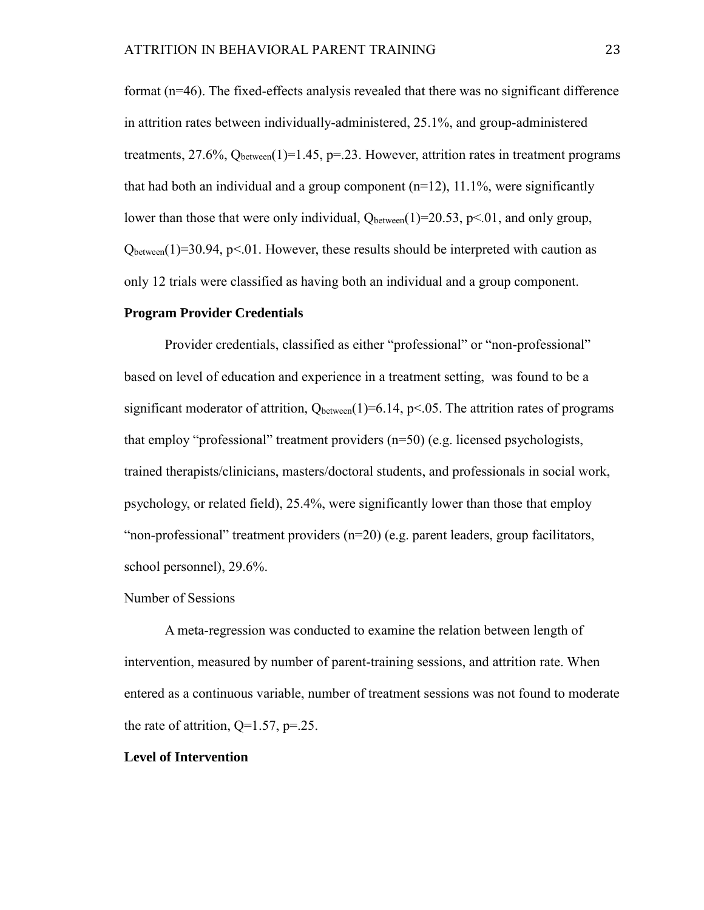format (n=46). The fixed-effects analysis revealed that there was no significant difference in attrition rates between individually-administered, 25.1%, and group-administered treatments, 27.6%,  $Q_{between}(1)=1.45$ , p=.23. However, attrition rates in treatment programs that had both an individual and a group component  $(n=12)$ , 11.1%, were significantly lower than those that were only individual,  $Q_{between}(1)=20.53$ , p<.01, and only group,  $Q_{between}(1)=30.94$ , p<.01. However, these results should be interpreted with caution as only 12 trials were classified as having both an individual and a group component.

#### **Program Provider Credentials**

Provider credentials, classified as either "professional" or "non-professional" based on level of education and experience in a treatment setting, was found to be a significant moderator of attrition,  $Q_{between}(1)=6.14$ , p<.05. The attrition rates of programs that employ "professional" treatment providers (n=50) (e.g. licensed psychologists, trained therapists/clinicians, masters/doctoral students, and professionals in social work, psychology, or related field), 25.4%, were significantly lower than those that employ "non-professional" treatment providers (n=20) (e.g. parent leaders, group facilitators, school personnel), 29.6%.

#### Number of Sessions

A meta-regression was conducted to examine the relation between length of intervention, measured by number of parent-training sessions, and attrition rate. When entered as a continuous variable, number of treatment sessions was not found to moderate the rate of attrition,  $Q=1.57$ ,  $p=.25$ .

#### **Level of Intervention**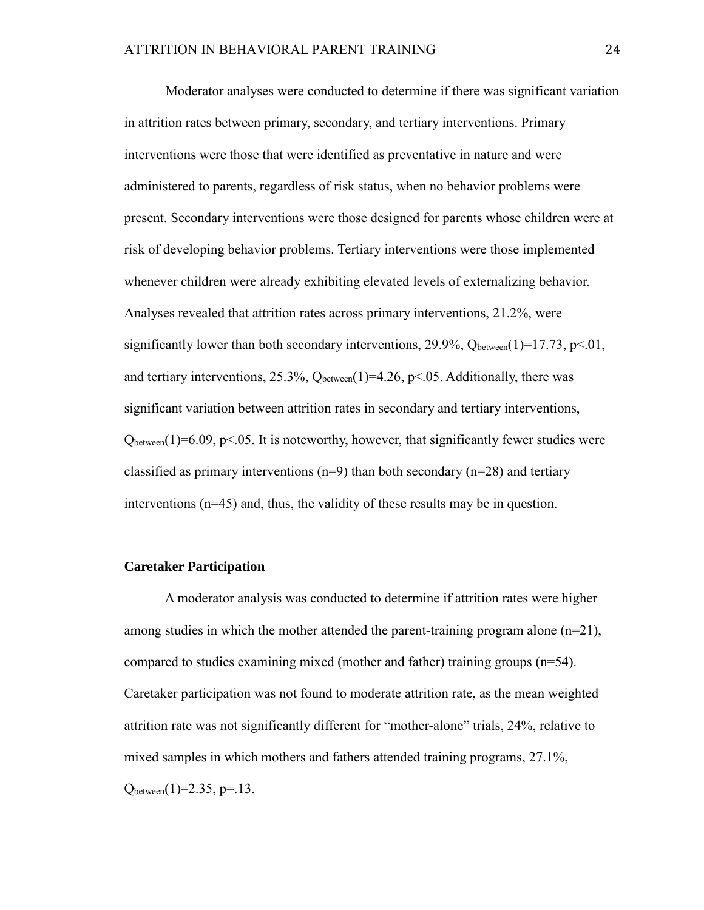Moderator analyses were conducted to determine if there was significant variation in attrition rates between primary, secondary, and tertiary interventions. Primary interventions were those that were identified as preventative in nature and were administered to parents, regardless of risk status, when no behavior problems were present. Secondary interventions were those designed for parents whose children were at risk of developing behavior problems. Tertiary interventions were those implemented whenever children were already exhibiting elevated levels of externalizing behavior. Analyses revealed that attrition rates across primary interventions, 21.2%, were significantly lower than both secondary interventions, 29.9%,  $Q_{between}(1)=17.73$ ,  $p<.01$ , and tertiary interventions, 25.3%,  $Q_{between}(1)=4.26$ , p<.05. Additionally, there was significant variation between attrition rates in secondary and tertiary interventions,  $Q_{between}(1)=6.09$ , p<.05. It is noteworthy, however, that significantly fewer studies were classified as primary interventions  $(n=9)$  than both secondary  $(n=28)$  and tertiary interventions  $(n=45)$  and, thus, the validity of these results may be in question.

#### **Caretaker Participation**

A moderator analysis was conducted to determine if attrition rates were higher among studies in which the mother attended the parent-training program alone  $(n=21)$ , compared to studies examining mixed (mother and father) training groups (n=54). Caretaker participation was not found to moderate attrition rate, as the mean weighted attrition rate was not significantly different for "mother-alone" trials, 24%, relative to mixed samples in which mothers and fathers attended training programs, 27.1%,  $Q_{between}(1)=2.35, p=.13.$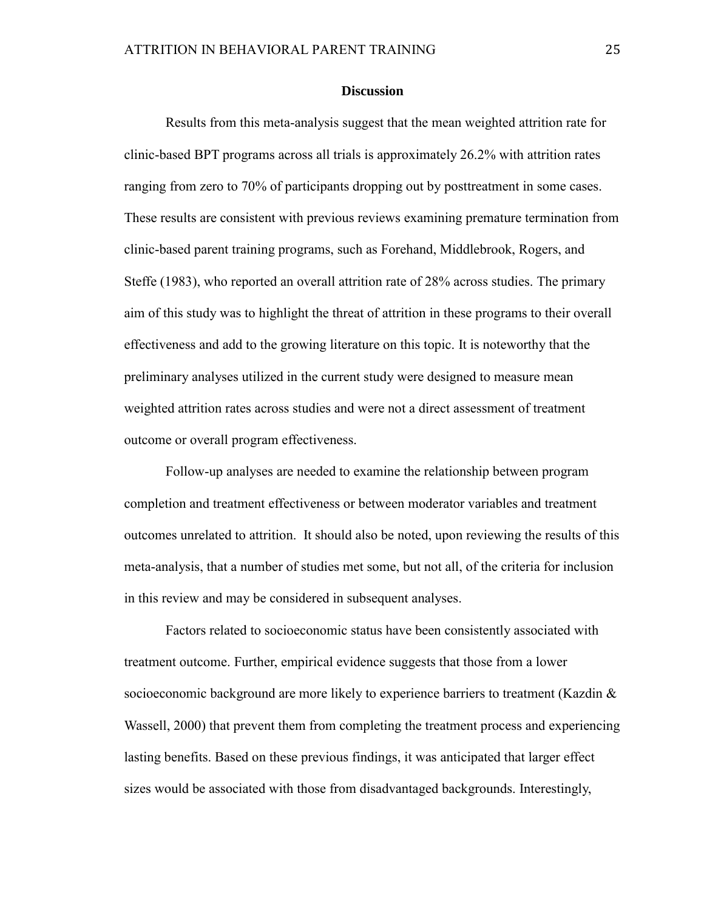#### **Discussion**

Results from this meta-analysis suggest that the mean weighted attrition rate for clinic-based BPT programs across all trials is approximately 26.2% with attrition rates ranging from zero to 70% of participants dropping out by posttreatment in some cases. These results are consistent with previous reviews examining premature termination from clinic-based parent training programs, such as Forehand, Middlebrook, Rogers, and Steffe (1983), who reported an overall attrition rate of 28% across studies. The primary aim of this study was to highlight the threat of attrition in these programs to their overall effectiveness and add to the growing literature on this topic. It is noteworthy that the preliminary analyses utilized in the current study were designed to measure mean weighted attrition rates across studies and were not a direct assessment of treatment outcome or overall program effectiveness.

Follow-up analyses are needed to examine the relationship between program completion and treatment effectiveness or between moderator variables and treatment outcomes unrelated to attrition. It should also be noted, upon reviewing the results of this meta-analysis, that a number of studies met some, but not all, of the criteria for inclusion in this review and may be considered in subsequent analyses.

Factors related to socioeconomic status have been consistently associated with treatment outcome. Further, empirical evidence suggests that those from a lower socioeconomic background are more likely to experience barriers to treatment (Kazdin & Wassell, 2000) that prevent them from completing the treatment process and experiencing lasting benefits. Based on these previous findings, it was anticipated that larger effect sizes would be associated with those from disadvantaged backgrounds. Interestingly,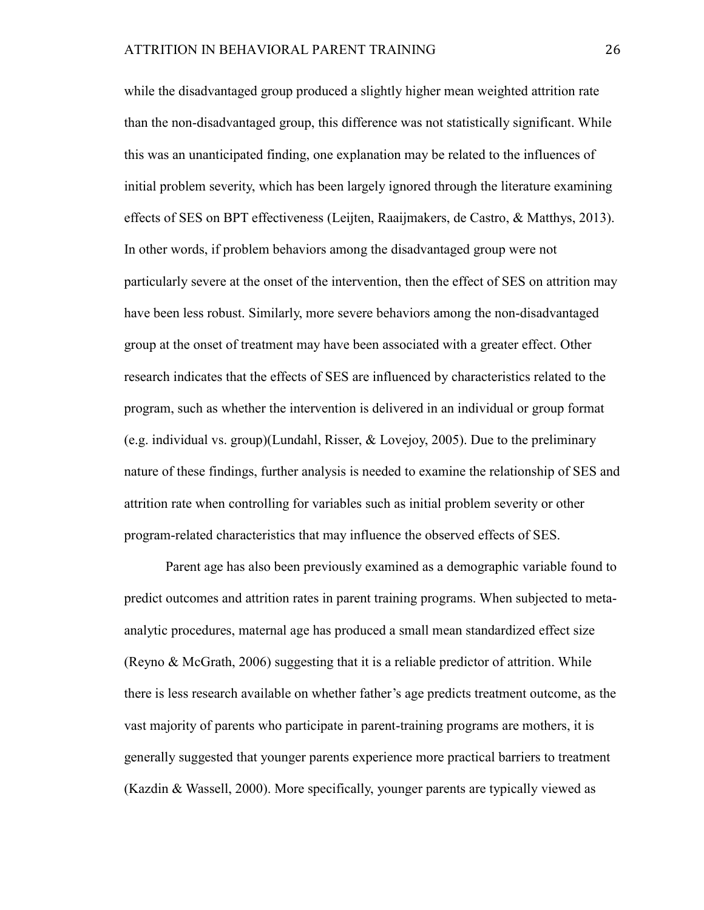while the disadvantaged group produced a slightly higher mean weighted attrition rate than the non-disadvantaged group, this difference was not statistically significant. While this was an unanticipated finding, one explanation may be related to the influences of initial problem severity, which has been largely ignored through the literature examining effects of SES on BPT effectiveness (Leijten, Raaijmakers, de Castro, & Matthys, 2013). In other words, if problem behaviors among the disadvantaged group were not particularly severe at the onset of the intervention, then the effect of SES on attrition may have been less robust. Similarly, more severe behaviors among the non-disadvantaged group at the onset of treatment may have been associated with a greater effect. Other research indicates that the effects of SES are influenced by characteristics related to the program, such as whether the intervention is delivered in an individual or group format (e.g. individual vs. group)(Lundahl, Risser, & Lovejoy, 2005). Due to the preliminary nature of these findings, further analysis is needed to examine the relationship of SES and attrition rate when controlling for variables such as initial problem severity or other program-related characteristics that may influence the observed effects of SES.

Parent age has also been previously examined as a demographic variable found to predict outcomes and attrition rates in parent training programs. When subjected to metaanalytic procedures, maternal age has produced a small mean standardized effect size (Reyno & McGrath, 2006) suggesting that it is a reliable predictor of attrition. While there is less research available on whether father's age predicts treatment outcome, as the vast majority of parents who participate in parent-training programs are mothers, it is generally suggested that younger parents experience more practical barriers to treatment (Kazdin & Wassell, 2000). More specifically, younger parents are typically viewed as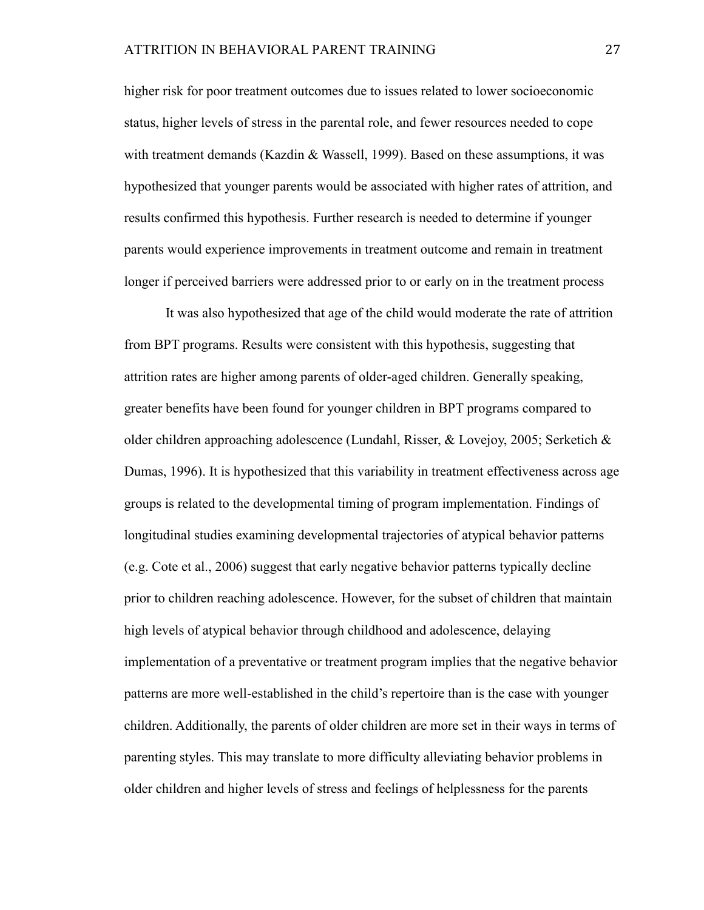higher risk for poor treatment outcomes due to issues related to lower socioeconomic status, higher levels of stress in the parental role, and fewer resources needed to cope with treatment demands (Kazdin & Wassell, 1999). Based on these assumptions, it was hypothesized that younger parents would be associated with higher rates of attrition, and results confirmed this hypothesis. Further research is needed to determine if younger parents would experience improvements in treatment outcome and remain in treatment longer if perceived barriers were addressed prior to or early on in the treatment process

It was also hypothesized that age of the child would moderate the rate of attrition from BPT programs. Results were consistent with this hypothesis, suggesting that attrition rates are higher among parents of older-aged children. Generally speaking, greater benefits have been found for younger children in BPT programs compared to older children approaching adolescence (Lundahl, Risser, & Lovejoy, 2005; Serketich & Dumas, 1996). It is hypothesized that this variability in treatment effectiveness across age groups is related to the developmental timing of program implementation. Findings of longitudinal studies examining developmental trajectories of atypical behavior patterns (e.g. Cote et al., 2006) suggest that early negative behavior patterns typically decline prior to children reaching adolescence. However, for the subset of children that maintain high levels of atypical behavior through childhood and adolescence, delaying implementation of a preventative or treatment program implies that the negative behavior patterns are more well-established in the child's repertoire than is the case with younger children. Additionally, the parents of older children are more set in their ways in terms of parenting styles. This may translate to more difficulty alleviating behavior problems in older children and higher levels of stress and feelings of helplessness for the parents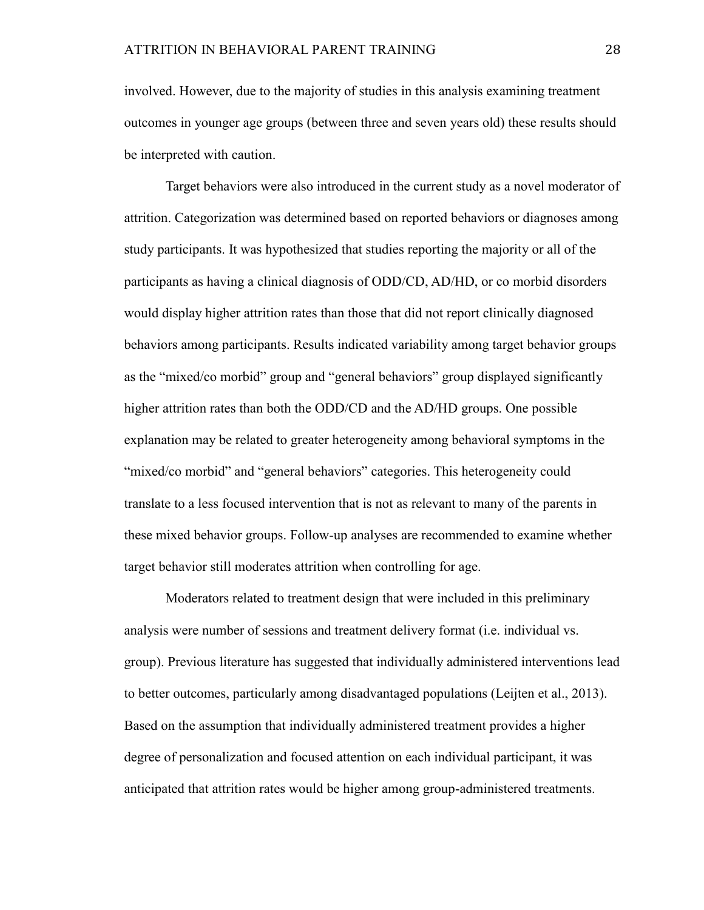involved. However, due to the majority of studies in this analysis examining treatment outcomes in younger age groups (between three and seven years old) these results should be interpreted with caution.

Target behaviors were also introduced in the current study as a novel moderator of attrition. Categorization was determined based on reported behaviors or diagnoses among study participants. It was hypothesized that studies reporting the majority or all of the participants as having a clinical diagnosis of ODD/CD, AD/HD, or co morbid disorders would display higher attrition rates than those that did not report clinically diagnosed behaviors among participants. Results indicated variability among target behavior groups as the "mixed/co morbid" group and "general behaviors" group displayed significantly higher attrition rates than both the ODD/CD and the AD/HD groups. One possible explanation may be related to greater heterogeneity among behavioral symptoms in the "mixed/co morbid" and "general behaviors" categories. This heterogeneity could translate to a less focused intervention that is not as relevant to many of the parents in these mixed behavior groups. Follow-up analyses are recommended to examine whether target behavior still moderates attrition when controlling for age.

Moderators related to treatment design that were included in this preliminary analysis were number of sessions and treatment delivery format (i.e. individual vs. group). Previous literature has suggested that individually administered interventions lead to better outcomes, particularly among disadvantaged populations (Leijten et al., 2013). Based on the assumption that individually administered treatment provides a higher degree of personalization and focused attention on each individual participant, it was anticipated that attrition rates would be higher among group-administered treatments.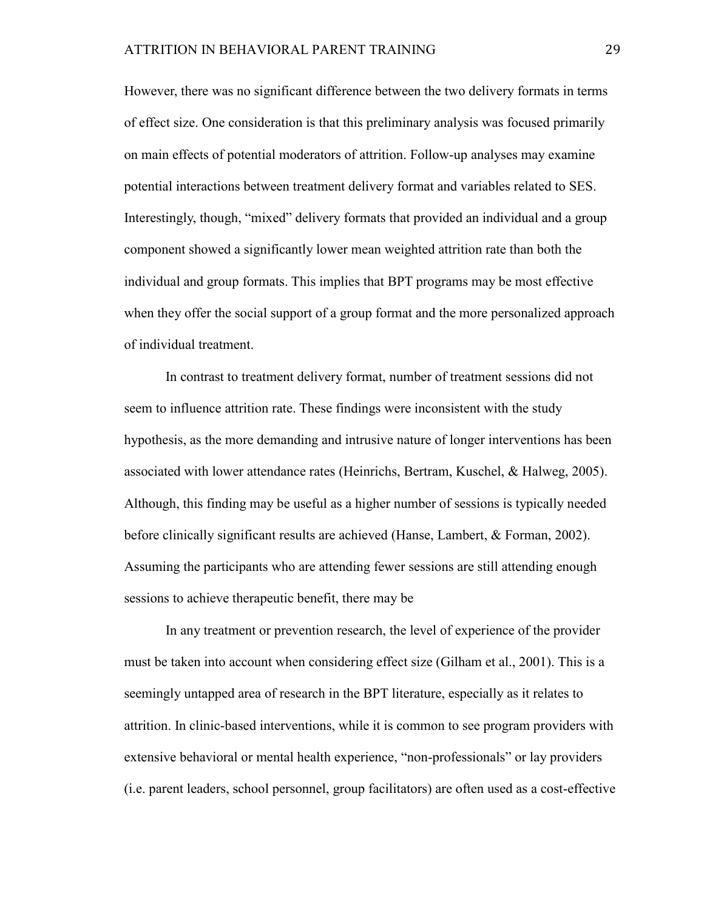However, there was no significant difference between the two delivery formats in terms of effect size. One consideration is that this preliminary analysis was focused primarily on main effects of potential moderators of attrition. Follow-up analyses may examine potential interactions between treatment delivery format and variables related to SES. Interestingly, though, "mixed" delivery formats that provided an individual and a group component showed a significantly lower mean weighted attrition rate than both the individual and group formats. This implies that BPT programs may be most effective when they offer the social support of a group format and the more personalized approach of individual treatment.

In contrast to treatment delivery format, number of treatment sessions did not seem to influence attrition rate. These findings were inconsistent with the study hypothesis, as the more demanding and intrusive nature of longer interventions has been associated with lower attendance rates (Heinrichs, Bertram, Kuschel, & Halweg, 2005). Although, this finding may be useful as a higher number of sessions is typically needed before clinically significant results are achieved (Hanse, Lambert, & Forman, 2002). Assuming the participants who are attending fewer sessions are still attending enough sessions to achieve therapeutic benefit, there may be

In any treatment or prevention research, the level of experience of the provider must be taken into account when considering effect size (Gilham et al., 2001). This is a seemingly untapped area of research in the BPT literature, especially as it relates to attrition. In clinic-based interventions, while it is common to see program providers with extensive behavioral or mental health experience, "non-professionals" or lay providers (i.e. parent leaders, school personnel, group facilitators) are often used as a cost-effective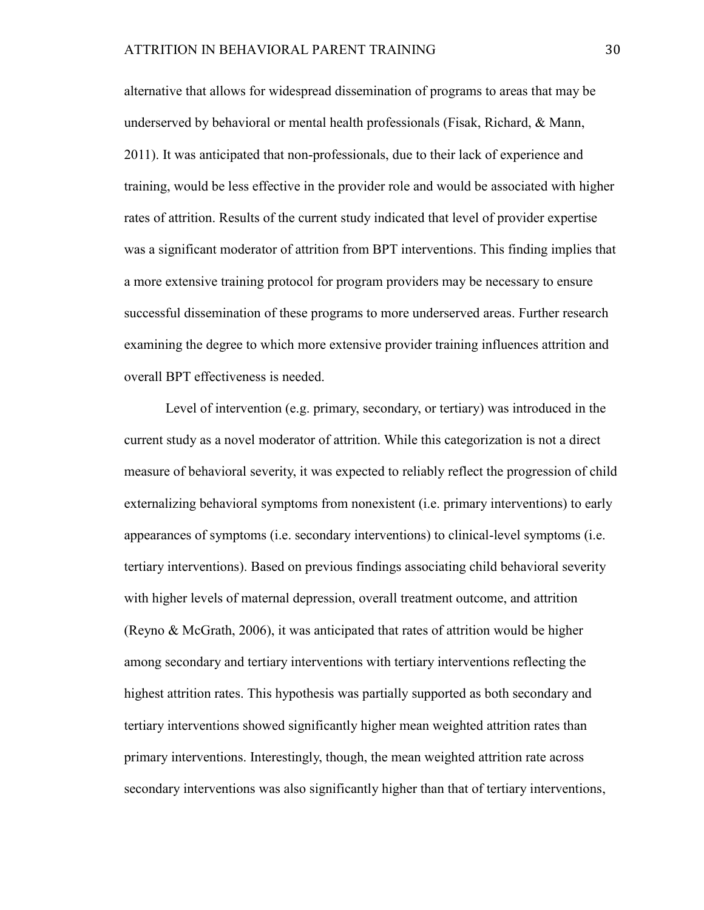alternative that allows for widespread dissemination of programs to areas that may be underserved by behavioral or mental health professionals (Fisak, Richard, & Mann, 2011). It was anticipated that non-professionals, due to their lack of experience and training, would be less effective in the provider role and would be associated with higher rates of attrition. Results of the current study indicated that level of provider expertise was a significant moderator of attrition from BPT interventions. This finding implies that a more extensive training protocol for program providers may be necessary to ensure successful dissemination of these programs to more underserved areas. Further research examining the degree to which more extensive provider training influences attrition and overall BPT effectiveness is needed.

Level of intervention (e.g. primary, secondary, or tertiary) was introduced in the current study as a novel moderator of attrition. While this categorization is not a direct measure of behavioral severity, it was expected to reliably reflect the progression of child externalizing behavioral symptoms from nonexistent (i.e. primary interventions) to early appearances of symptoms (i.e. secondary interventions) to clinical-level symptoms (i.e. tertiary interventions). Based on previous findings associating child behavioral severity with higher levels of maternal depression, overall treatment outcome, and attrition (Reyno & McGrath, 2006), it was anticipated that rates of attrition would be higher among secondary and tertiary interventions with tertiary interventions reflecting the highest attrition rates. This hypothesis was partially supported as both secondary and tertiary interventions showed significantly higher mean weighted attrition rates than primary interventions. Interestingly, though, the mean weighted attrition rate across secondary interventions was also significantly higher than that of tertiary interventions,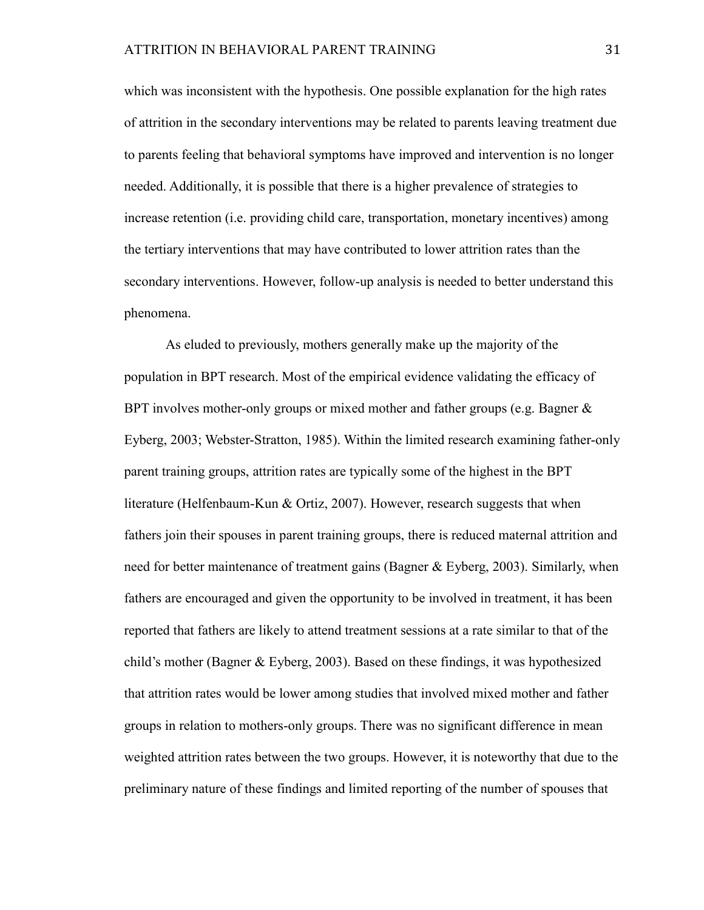which was inconsistent with the hypothesis. One possible explanation for the high rates of attrition in the secondary interventions may be related to parents leaving treatment due to parents feeling that behavioral symptoms have improved and intervention is no longer needed. Additionally, it is possible that there is a higher prevalence of strategies to increase retention (i.e. providing child care, transportation, monetary incentives) among the tertiary interventions that may have contributed to lower attrition rates than the secondary interventions. However, follow-up analysis is needed to better understand this phenomena.

As eluded to previously, mothers generally make up the majority of the population in BPT research. Most of the empirical evidence validating the efficacy of BPT involves mother-only groups or mixed mother and father groups (e.g. Bagner  $\&$ Eyberg, 2003; Webster-Stratton, 1985). Within the limited research examining father-only parent training groups, attrition rates are typically some of the highest in the BPT literature (Helfenbaum-Kun & Ortiz, 2007). However, research suggests that when fathers join their spouses in parent training groups, there is reduced maternal attrition and need for better maintenance of treatment gains (Bagner & Eyberg, 2003). Similarly, when fathers are encouraged and given the opportunity to be involved in treatment, it has been reported that fathers are likely to attend treatment sessions at a rate similar to that of the child's mother (Bagner & Eyberg, 2003). Based on these findings, it was hypothesized that attrition rates would be lower among studies that involved mixed mother and father groups in relation to mothers-only groups. There was no significant difference in mean weighted attrition rates between the two groups. However, it is noteworthy that due to the preliminary nature of these findings and limited reporting of the number of spouses that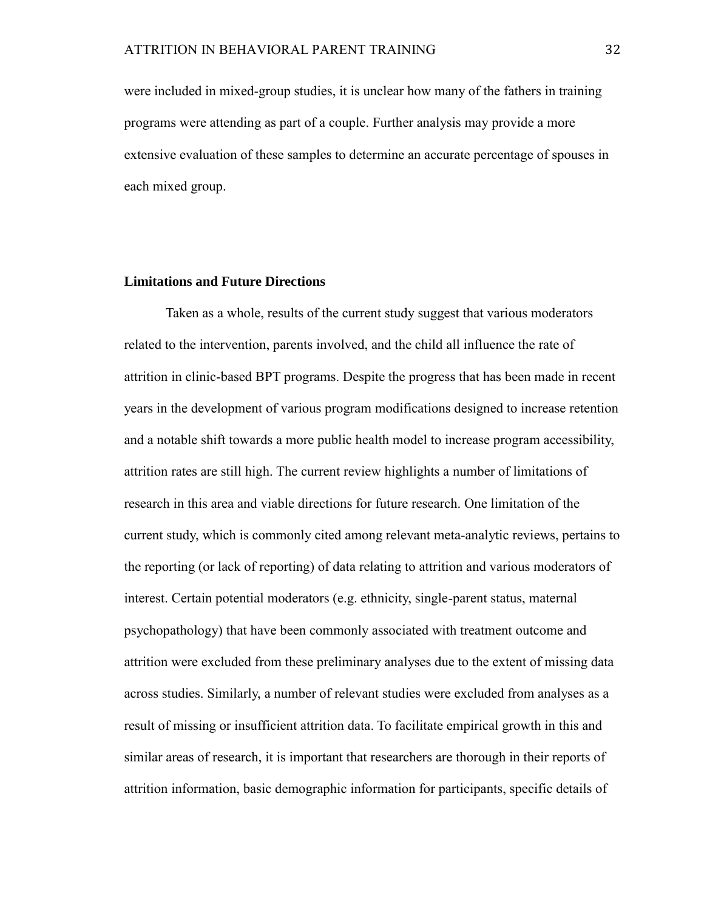were included in mixed-group studies, it is unclear how many of the fathers in training programs were attending as part of a couple. Further analysis may provide a more extensive evaluation of these samples to determine an accurate percentage of spouses in each mixed group.

#### **Limitations and Future Directions**

Taken as a whole, results of the current study suggest that various moderators related to the intervention, parents involved, and the child all influence the rate of attrition in clinic-based BPT programs. Despite the progress that has been made in recent years in the development of various program modifications designed to increase retention and a notable shift towards a more public health model to increase program accessibility, attrition rates are still high. The current review highlights a number of limitations of research in this area and viable directions for future research. One limitation of the current study, which is commonly cited among relevant meta-analytic reviews, pertains to the reporting (or lack of reporting) of data relating to attrition and various moderators of interest. Certain potential moderators (e.g. ethnicity, single-parent status, maternal psychopathology) that have been commonly associated with treatment outcome and attrition were excluded from these preliminary analyses due to the extent of missing data across studies. Similarly, a number of relevant studies were excluded from analyses as a result of missing or insufficient attrition data. To facilitate empirical growth in this and similar areas of research, it is important that researchers are thorough in their reports of attrition information, basic demographic information for participants, specific details of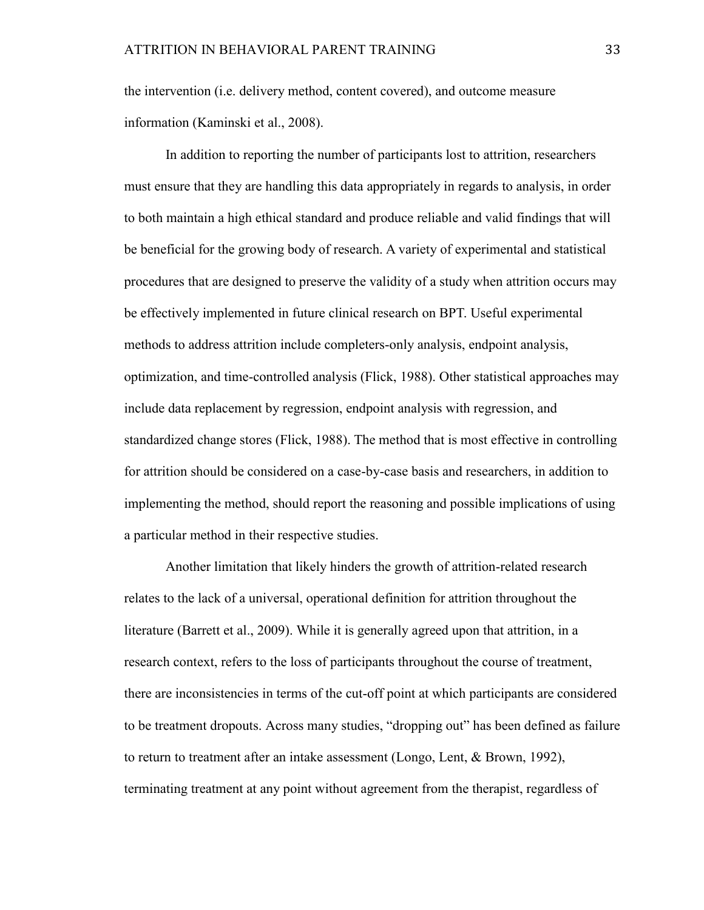the intervention (i.e. delivery method, content covered), and outcome measure information (Kaminski et al., 2008).

In addition to reporting the number of participants lost to attrition, researchers must ensure that they are handling this data appropriately in regards to analysis, in order to both maintain a high ethical standard and produce reliable and valid findings that will be beneficial for the growing body of research. A variety of experimental and statistical procedures that are designed to preserve the validity of a study when attrition occurs may be effectively implemented in future clinical research on BPT. Useful experimental methods to address attrition include completers-only analysis, endpoint analysis, optimization, and time-controlled analysis (Flick, 1988). Other statistical approaches may include data replacement by regression, endpoint analysis with regression, and standardized change stores (Flick, 1988). The method that is most effective in controlling for attrition should be considered on a case-by-case basis and researchers, in addition to implementing the method, should report the reasoning and possible implications of using a particular method in their respective studies.

Another limitation that likely hinders the growth of attrition-related research relates to the lack of a universal, operational definition for attrition throughout the literature (Barrett et al., 2009). While it is generally agreed upon that attrition, in a research context, refers to the loss of participants throughout the course of treatment, there are inconsistencies in terms of the cut-off point at which participants are considered to be treatment dropouts. Across many studies, "dropping out" has been defined as failure to return to treatment after an intake assessment (Longo, Lent, & Brown, 1992), terminating treatment at any point without agreement from the therapist, regardless of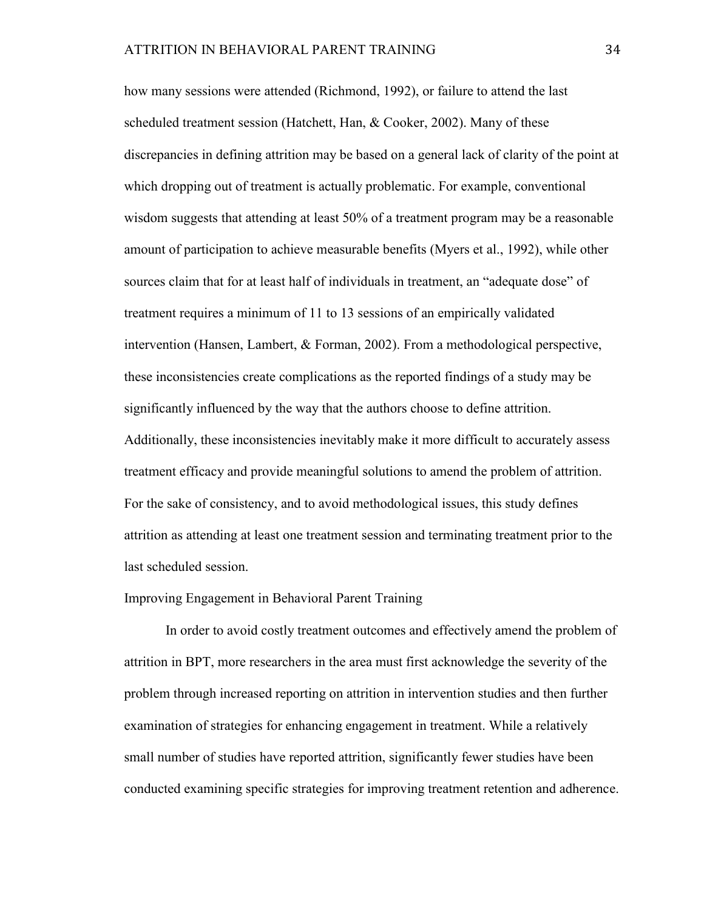how many sessions were attended (Richmond, 1992), or failure to attend the last scheduled treatment session (Hatchett, Han, & Cooker, 2002). Many of these discrepancies in defining attrition may be based on a general lack of clarity of the point at which dropping out of treatment is actually problematic. For example, conventional wisdom suggests that attending at least 50% of a treatment program may be a reasonable amount of participation to achieve measurable benefits (Myers et al., 1992), while other sources claim that for at least half of individuals in treatment, an "adequate dose" of treatment requires a minimum of 11 to 13 sessions of an empirically validated intervention (Hansen, Lambert, & Forman, 2002). From a methodological perspective, these inconsistencies create complications as the reported findings of a study may be significantly influenced by the way that the authors choose to define attrition. Additionally, these inconsistencies inevitably make it more difficult to accurately assess treatment efficacy and provide meaningful solutions to amend the problem of attrition. For the sake of consistency, and to avoid methodological issues, this study defines attrition as attending at least one treatment session and terminating treatment prior to the last scheduled session.

#### Improving Engagement in Behavioral Parent Training

In order to avoid costly treatment outcomes and effectively amend the problem of attrition in BPT, more researchers in the area must first acknowledge the severity of the problem through increased reporting on attrition in intervention studies and then further examination of strategies for enhancing engagement in treatment. While a relatively small number of studies have reported attrition, significantly fewer studies have been conducted examining specific strategies for improving treatment retention and adherence.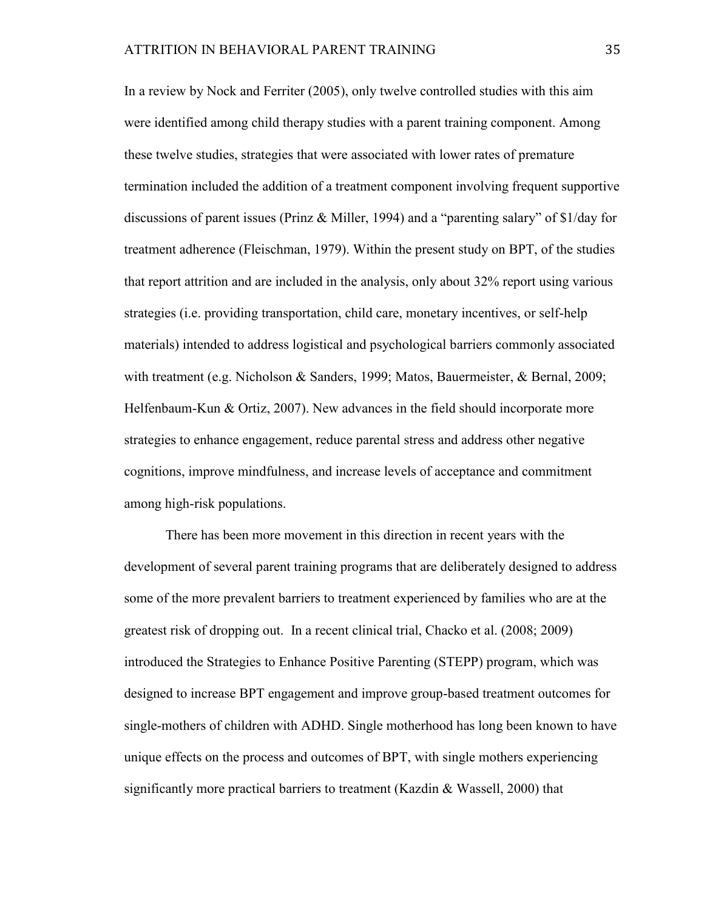In a review by Nock and Ferriter (2005), only twelve controlled studies with this aim were identified among child therapy studies with a parent training component. Among these twelve studies, strategies that were associated with lower rates of premature termination included the addition of a treatment component involving frequent supportive discussions of parent issues (Prinz & Miller, 1994) and a "parenting salary" of \$1/day for treatment adherence (Fleischman, 1979). Within the present study on BPT, of the studies that report attrition and are included in the analysis, only about 32% report using various strategies (i.e. providing transportation, child care, monetary incentives, or self-help materials) intended to address logistical and psychological barriers commonly associated with treatment (e.g. Nicholson & Sanders, 1999; Matos, Bauermeister, & Bernal, 2009; Helfenbaum-Kun & Ortiz, 2007). New advances in the field should incorporate more strategies to enhance engagement, reduce parental stress and address other negative cognitions, improve mindfulness, and increase levels of acceptance and commitment among high-risk populations.

There has been more movement in this direction in recent years with the development of several parent training programs that are deliberately designed to address some of the more prevalent barriers to treatment experienced by families who are at the greatest risk of dropping out. In a recent clinical trial, Chacko et al. (2008; 2009) introduced the Strategies to Enhance Positive Parenting (STEPP) program, which was designed to increase BPT engagement and improve group-based treatment outcomes for single-mothers of children with ADHD. Single motherhood has long been known to have unique effects on the process and outcomes of BPT, with single mothers experiencing significantly more practical barriers to treatment (Kazdin & Wassell, 2000) that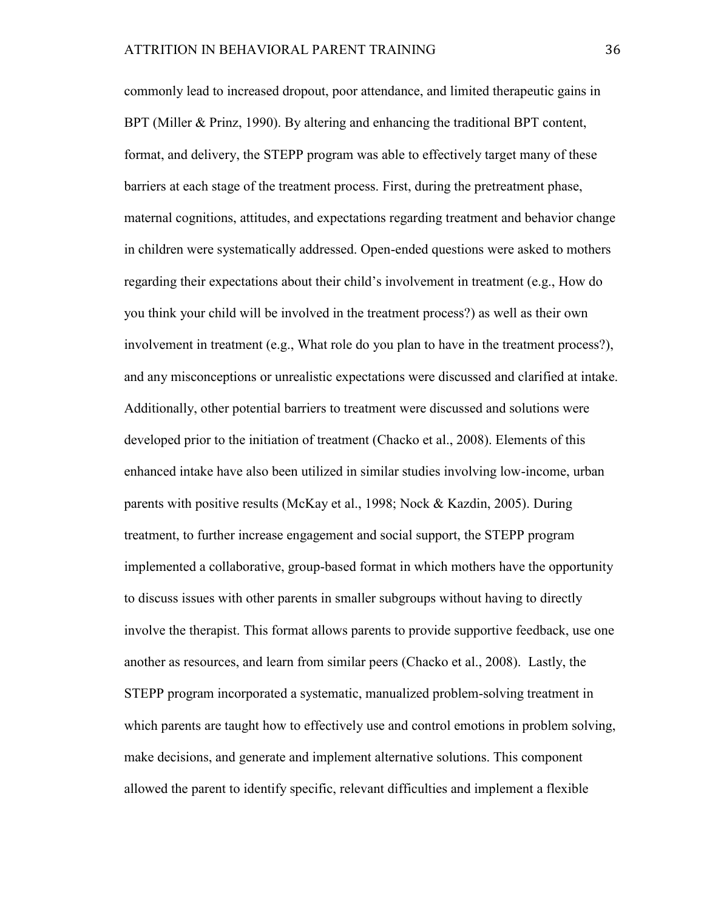commonly lead to increased dropout, poor attendance, and limited therapeutic gains in BPT (Miller & Prinz, 1990). By altering and enhancing the traditional BPT content, format, and delivery, the STEPP program was able to effectively target many of these barriers at each stage of the treatment process. First, during the pretreatment phase, maternal cognitions, attitudes, and expectations regarding treatment and behavior change in children were systematically addressed. Open-ended questions were asked to mothers regarding their expectations about their child's involvement in treatment (e.g., How do you think your child will be involved in the treatment process?) as well as their own involvement in treatment (e.g., What role do you plan to have in the treatment process?), and any misconceptions or unrealistic expectations were discussed and clarified at intake. Additionally, other potential barriers to treatment were discussed and solutions were developed prior to the initiation of treatment (Chacko et al., 2008). Elements of this enhanced intake have also been utilized in similar studies involving low-income, urban parents with positive results (McKay et al., 1998; Nock & Kazdin, 2005). During treatment, to further increase engagement and social support, the STEPP program implemented a collaborative, group-based format in which mothers have the opportunity to discuss issues with other parents in smaller subgroups without having to directly involve the therapist. This format allows parents to provide supportive feedback, use one another as resources, and learn from similar peers (Chacko et al., 2008). Lastly, the STEPP program incorporated a systematic, manualized problem-solving treatment in which parents are taught how to effectively use and control emotions in problem solving, make decisions, and generate and implement alternative solutions. This component allowed the parent to identify specific, relevant difficulties and implement a flexible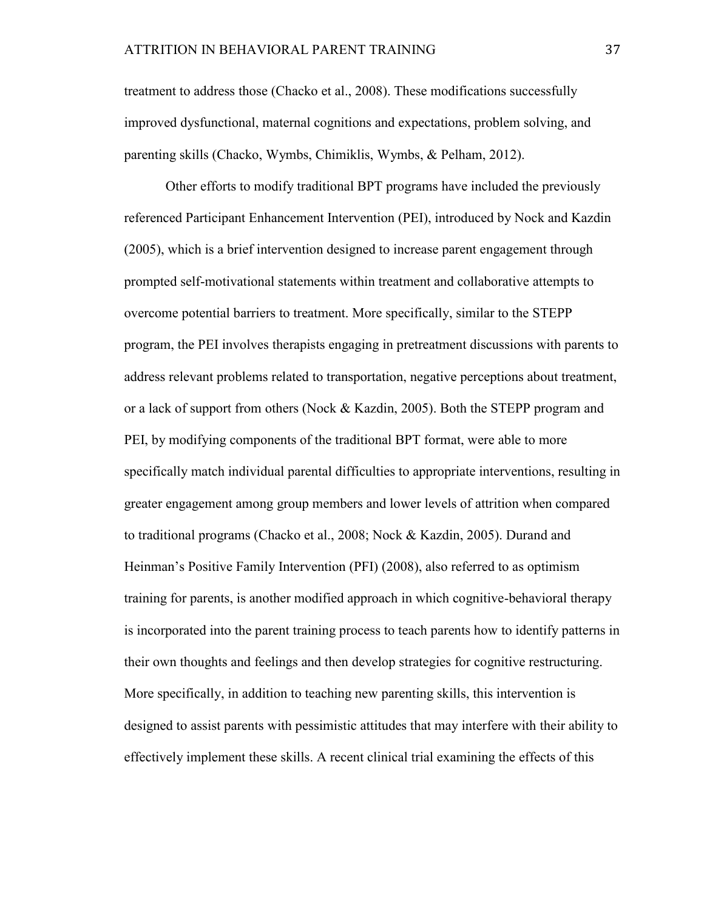treatment to address those (Chacko et al., 2008). These modifications successfully improved dysfunctional, maternal cognitions and expectations, problem solving, and parenting skills (Chacko, Wymbs, Chimiklis, Wymbs, & Pelham, 2012).

Other efforts to modify traditional BPT programs have included the previously referenced Participant Enhancement Intervention (PEI), introduced by Nock and Kazdin (2005), which is a brief intervention designed to increase parent engagement through prompted self-motivational statements within treatment and collaborative attempts to overcome potential barriers to treatment. More specifically, similar to the STEPP program, the PEI involves therapists engaging in pretreatment discussions with parents to address relevant problems related to transportation, negative perceptions about treatment, or a lack of support from others (Nock & Kazdin, 2005). Both the STEPP program and PEI, by modifying components of the traditional BPT format, were able to more specifically match individual parental difficulties to appropriate interventions, resulting in greater engagement among group members and lower levels of attrition when compared to traditional programs (Chacko et al., 2008; Nock & Kazdin, 2005). Durand and Heinman's Positive Family Intervention (PFI) (2008), also referred to as optimism training for parents, is another modified approach in which cognitive-behavioral therapy is incorporated into the parent training process to teach parents how to identify patterns in their own thoughts and feelings and then develop strategies for cognitive restructuring. More specifically, in addition to teaching new parenting skills, this intervention is designed to assist parents with pessimistic attitudes that may interfere with their ability to effectively implement these skills. A recent clinical trial examining the effects of this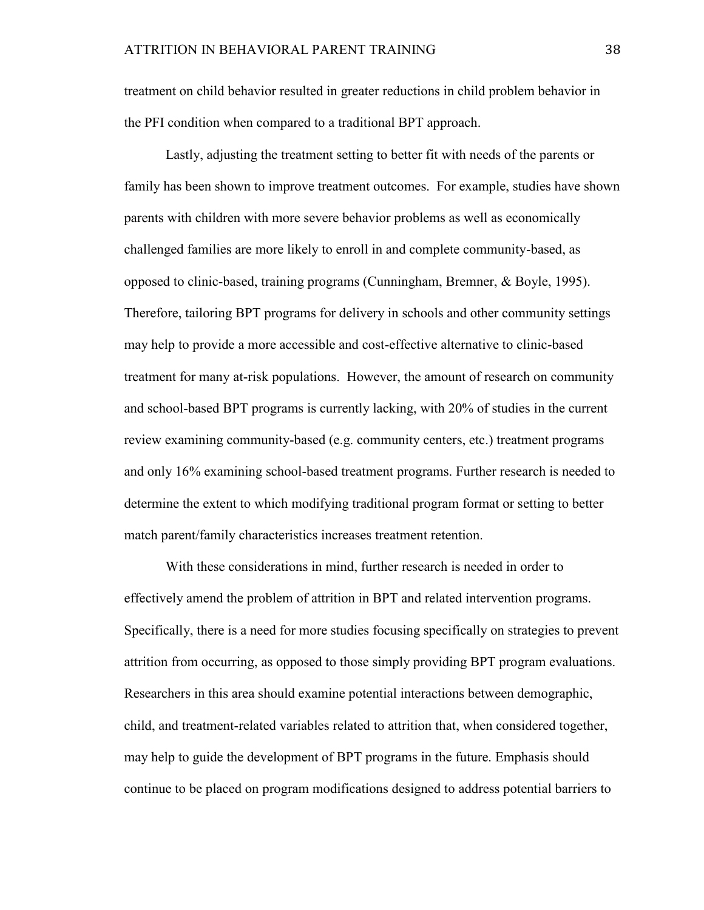treatment on child behavior resulted in greater reductions in child problem behavior in the PFI condition when compared to a traditional BPT approach.

Lastly, adjusting the treatment setting to better fit with needs of the parents or family has been shown to improve treatment outcomes. For example, studies have shown parents with children with more severe behavior problems as well as economically challenged families are more likely to enroll in and complete community-based, as opposed to clinic-based, training programs (Cunningham, Bremner, & Boyle, 1995). Therefore, tailoring BPT programs for delivery in schools and other community settings may help to provide a more accessible and cost-effective alternative to clinic-based treatment for many at-risk populations. However, the amount of research on community and school-based BPT programs is currently lacking, with 20% of studies in the current review examining community-based (e.g. community centers, etc.) treatment programs and only 16% examining school-based treatment programs. Further research is needed to determine the extent to which modifying traditional program format or setting to better match parent/family characteristics increases treatment retention.

With these considerations in mind, further research is needed in order to effectively amend the problem of attrition in BPT and related intervention programs. Specifically, there is a need for more studies focusing specifically on strategies to prevent attrition from occurring, as opposed to those simply providing BPT program evaluations. Researchers in this area should examine potential interactions between demographic, child, and treatment-related variables related to attrition that, when considered together, may help to guide the development of BPT programs in the future. Emphasis should continue to be placed on program modifications designed to address potential barriers to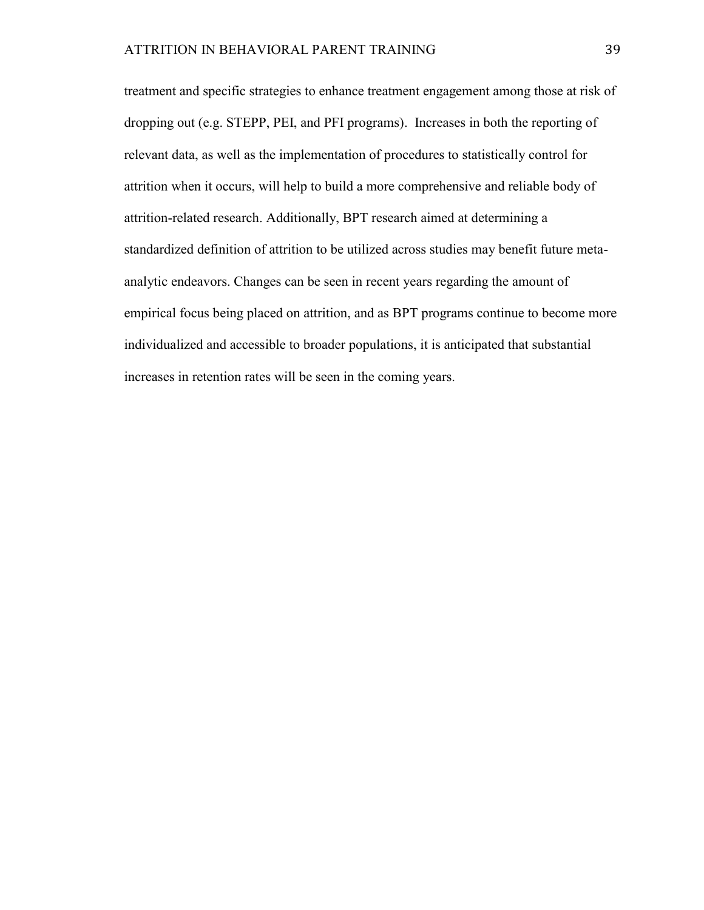treatment and specific strategies to enhance treatment engagement among those at risk of dropping out (e.g. STEPP, PEI, and PFI programs). Increases in both the reporting of relevant data, as well as the implementation of procedures to statistically control for attrition when it occurs, will help to build a more comprehensive and reliable body of attrition-related research. Additionally, BPT research aimed at determining a standardized definition of attrition to be utilized across studies may benefit future metaanalytic endeavors. Changes can be seen in recent years regarding the amount of empirical focus being placed on attrition, and as BPT programs continue to become more individualized and accessible to broader populations, it is anticipated that substantial increases in retention rates will be seen in the coming years.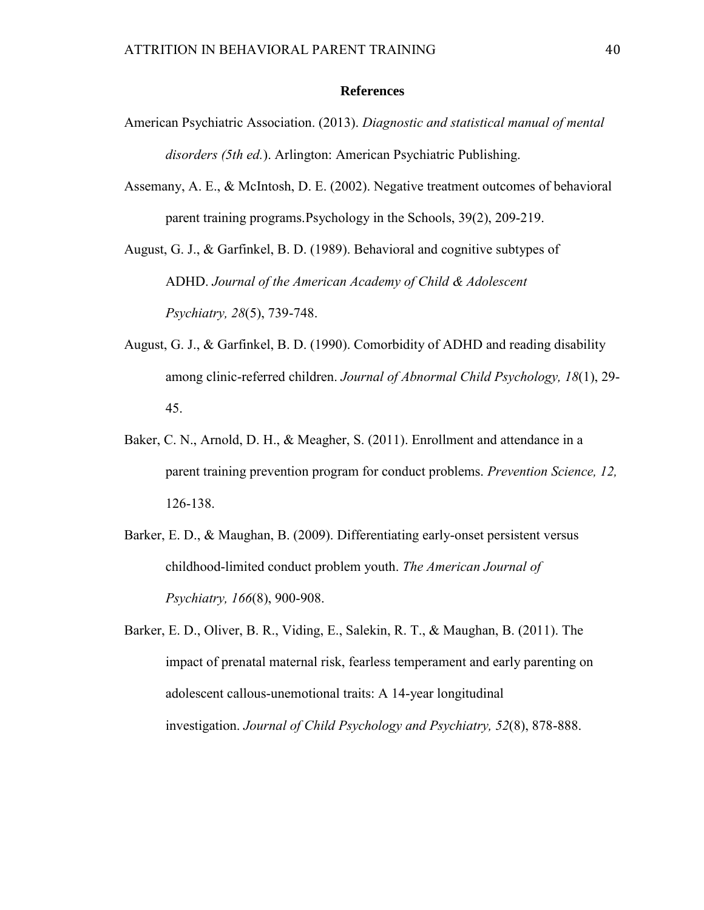#### **References**

- American Psychiatric Association. (2013). *Diagnostic and statistical manual of mental disorders (5th ed.*). Arlington: American Psychiatric Publishing.
- Assemany, A. E., & McIntosh, D. E. (2002). Negative treatment outcomes of behavioral parent training programs.Psychology in the Schools, 39(2), 209-219.

August, G. J., & Garfinkel, B. D. (1989). Behavioral and cognitive subtypes of ADHD. *Journal of the American Academy of Child & Adolescent Psychiatry, 28*(5), 739-748.

- August, G. J., & Garfinkel, B. D. (1990). Comorbidity of ADHD and reading disability among clinic-referred children. *Journal of Abnormal Child Psychology, 18*(1), 29- 45.
- Baker, C. N., Arnold, D. H., & Meagher, S. (2011). Enrollment and attendance in a parent training prevention program for conduct problems. *Prevention Science, 12,* 126-138.
- Barker, E. D., & Maughan, B. (2009). Differentiating early-onset persistent versus childhood-limited conduct problem youth. *The American Journal of Psychiatry, 166*(8), 900-908.
- Barker, E. D., Oliver, B. R., Viding, E., Salekin, R. T., & Maughan, B. (2011). The impact of prenatal maternal risk, fearless temperament and early parenting on adolescent callous‐unemotional traits: A 14‐year longitudinal investigation. *Journal of Child Psychology and Psychiatry, 52*(8), 878-888.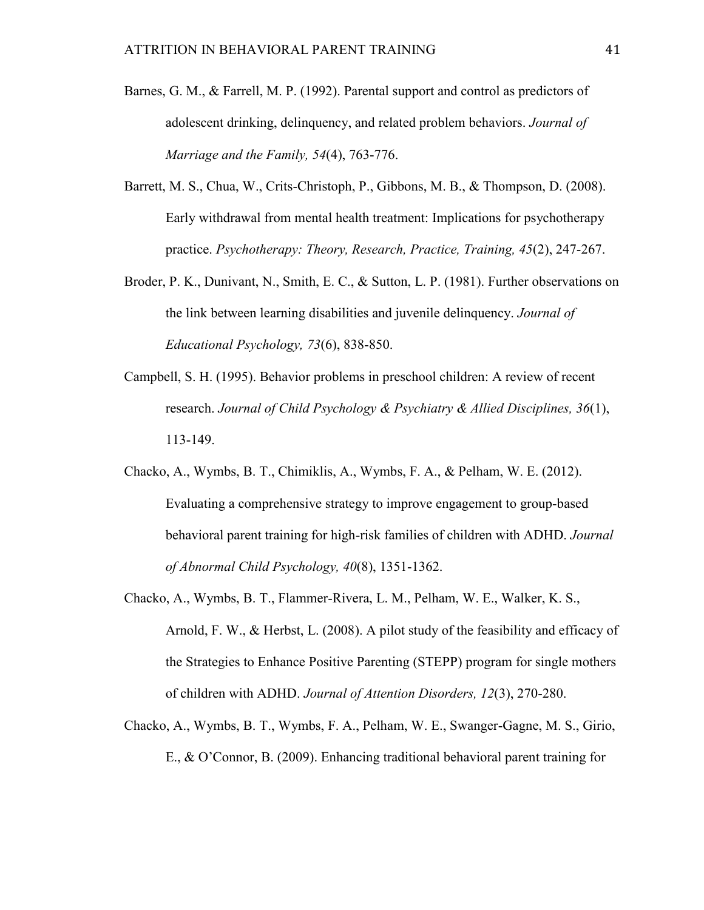- Barnes, G. M., & Farrell, M. P. (1992). Parental support and control as predictors of adolescent drinking, delinquency, and related problem behaviors. *Journal of Marriage and the Family, 54*(4), 763-776.
- Barrett, M. S., Chua, W., Crits-Christoph, P., Gibbons, M. B., & Thompson, D. (2008). Early withdrawal from mental health treatment: Implications for psychotherapy practice. *Psychotherapy: Theory, Research, Practice, Training, 45*(2), 247-267.
- Broder, P. K., Dunivant, N., Smith, E. C., & Sutton, L. P. (1981). Further observations on the link between learning disabilities and juvenile delinquency. *Journal of Educational Psychology, 73*(6), 838-850.
- Campbell, S. H. (1995). Behavior problems in preschool children: A review of recent research. *Journal of Child Psychology & Psychiatry & Allied Disciplines, 36*(1), 113-149.
- Chacko, A., Wymbs, B. T., Chimiklis, A., Wymbs, F. A., & Pelham, W. E. (2012). Evaluating a comprehensive strategy to improve engagement to group-based behavioral parent training for high-risk families of children with ADHD. *Journal of Abnormal Child Psychology, 40*(8), 1351-1362.
- Chacko, A., Wymbs, B. T., Flammer-Rivera, L. M., Pelham, W. E., Walker, K. S., Arnold, F. W., & Herbst, L. (2008). A pilot study of the feasibility and efficacy of the Strategies to Enhance Positive Parenting (STEPP) program for single mothers of children with ADHD. *Journal of Attention Disorders, 12*(3), 270-280.
- Chacko, A., Wymbs, B. T., Wymbs, F. A., Pelham, W. E., Swanger-Gagne, M. S., Girio, E., & O'Connor, B. (2009). Enhancing traditional behavioral parent training for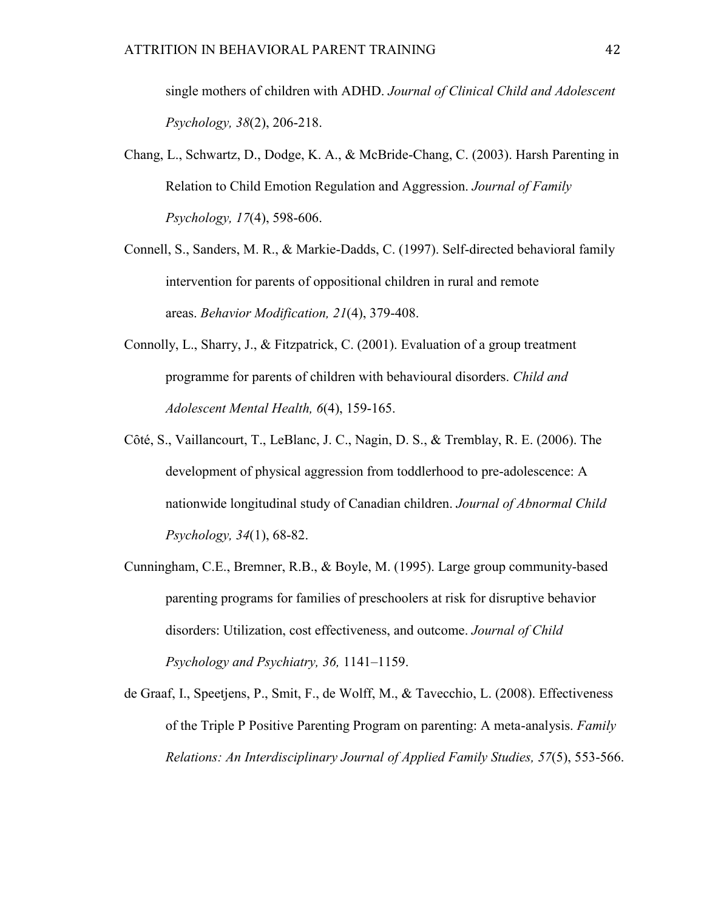single mothers of children with ADHD. *Journal of Clinical Child and Adolescent Psychology, 38*(2), 206-218.

- Chang, L., Schwartz, D., Dodge, K. A., & McBride-Chang, C. (2003). Harsh Parenting in Relation to Child Emotion Regulation and Aggression. *Journal of Family Psychology, 17*(4), 598-606.
- Connell, S., Sanders, M. R., & Markie-Dadds, C. (1997). Self-directed behavioral family intervention for parents of oppositional children in rural and remote areas. *Behavior Modification, 21*(4), 379-408.
- Connolly, L., Sharry, J., & Fitzpatrick, C. (2001). Evaluation of a group treatment programme for parents of children with behavioural disorders. *Child and Adolescent Mental Health, 6*(4), 159-165.
- Côté, S., Vaillancourt, T., LeBlanc, J. C., Nagin, D. S., & Tremblay, R. E. (2006). The development of physical aggression from toddlerhood to pre-adolescence: A nationwide longitudinal study of Canadian children. *Journal of Abnormal Child Psychology, 34*(1), 68-82.
- Cunningham, C.E., Bremner, R.B., & Boyle, M. (1995). Large group community-based parenting programs for families of preschoolers at risk for disruptive behavior disorders: Utilization, cost effectiveness, and outcome. *Journal of Child Psychology and Psychiatry, 36,* 1141–1159.
- de Graaf, I., Speetjens, P., Smit, F., de Wolff, M., & Tavecchio, L. (2008). Effectiveness of the Triple P Positive Parenting Program on parenting: A meta-analysis. *Family Relations: An Interdisciplinary Journal of Applied Family Studies, 57*(5), 553-566.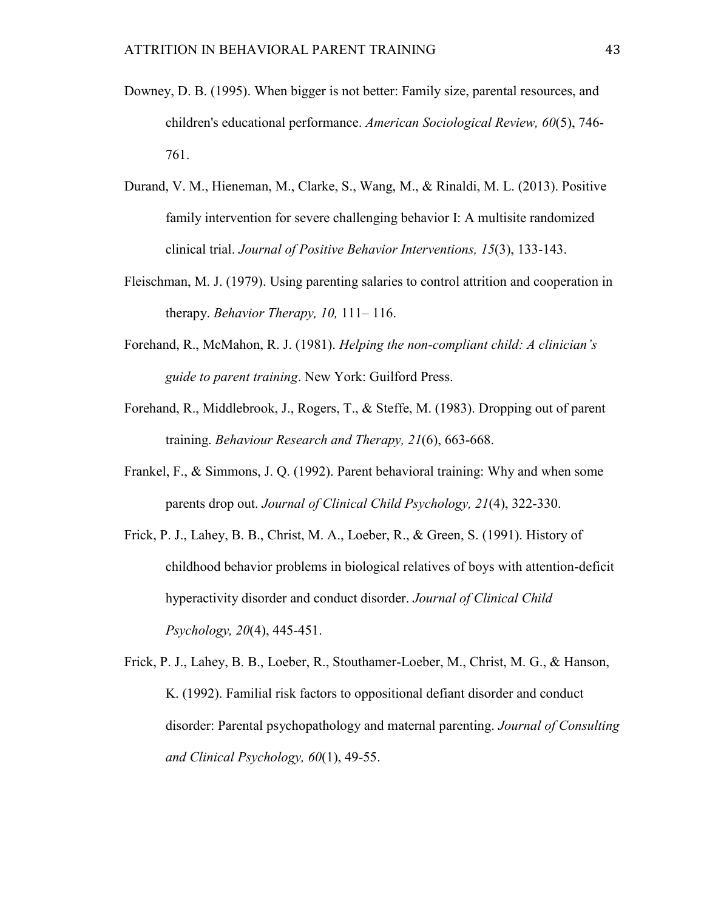- Downey, D. B. (1995). When bigger is not better: Family size, parental resources, and children's educational performance. *American Sociological Review, 60*(5), 746- 761.
- Durand, V. M., Hieneman, M., Clarke, S., Wang, M., & Rinaldi, M. L. (2013). Positive family intervention for severe challenging behavior I: A multisite randomized clinical trial. *Journal of Positive Behavior Interventions, 15*(3), 133-143.
- Fleischman, M. J. (1979). Using parenting salaries to control attrition and cooperation in therapy. *Behavior Therapy, 10,* 111– 116.
- Forehand, R., McMahon, R. J. (1981). *Helping the non-compliant child: A clinician's guide to parent training*. New York: Guilford Press.
- Forehand, R., Middlebrook, J., Rogers, T., & Steffe, M. (1983). Dropping out of parent training. *Behaviour Research and Therapy, 21*(6), 663-668.
- Frankel, F., & Simmons, J. Q. (1992). Parent behavioral training: Why and when some parents drop out. *Journal of Clinical Child Psychology, 21*(4), 322-330.
- Frick, P. J., Lahey, B. B., Christ, M. A., Loeber, R., & Green, S. (1991). History of childhood behavior problems in biological relatives of boys with attention-deficit hyperactivity disorder and conduct disorder. *Journal of Clinical Child Psychology, 20*(4), 445-451.

Frick, P. J., Lahey, B. B., Loeber, R., Stouthamer-Loeber, M., Christ, M. G., & Hanson, K. (1992). Familial risk factors to oppositional defiant disorder and conduct disorder: Parental psychopathology and maternal parenting. *Journal of Consulting and Clinical Psychology, 60*(1), 49-55.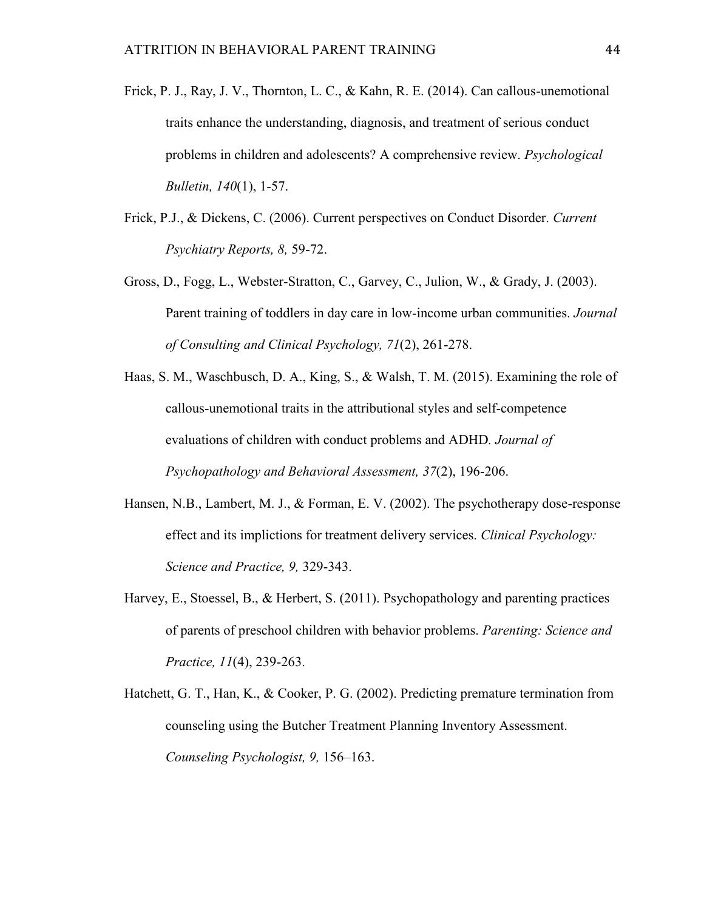- Frick, P. J., Ray, J. V., Thornton, L. C., & Kahn, R. E. (2014). Can callous-unemotional traits enhance the understanding, diagnosis, and treatment of serious conduct problems in children and adolescents? A comprehensive review. *Psychological Bulletin, 140*(1), 1-57.
- Frick, P.J., & Dickens, C. (2006). Current perspectives on Conduct Disorder. *Current Psychiatry Reports, 8,* 59-72.
- Gross, D., Fogg, L., Webster-Stratton, C., Garvey, C., Julion, W., & Grady, J. (2003). Parent training of toddlers in day care in low-income urban communities. *Journal of Consulting and Clinical Psychology, 71*(2), 261-278.
- Haas, S. M., Waschbusch, D. A., King, S., & Walsh, T. M. (2015). Examining the role of callous-unemotional traits in the attributional styles and self-competence evaluations of children with conduct problems and ADHD*. Journal of Psychopathology and Behavioral Assessment, 37*(2), 196-206.
- Hansen, N.B., Lambert, M. J., & Forman, E. V. (2002). The psychotherapy dose-response effect and its implictions for treatment delivery services. *Clinical Psychology: Science and Practice, 9,* 329-343.
- Harvey, E., Stoessel, B., & Herbert, S. (2011). Psychopathology and parenting practices of parents of preschool children with behavior problems. *Parenting: Science and Practice, 11*(4), 239-263.
- Hatchett, G. T., Han, K., & Cooker, P. G. (2002). Predicting premature termination from counseling using the Butcher Treatment Planning Inventory Assessment. *Counseling Psychologist, 9,* 156–163.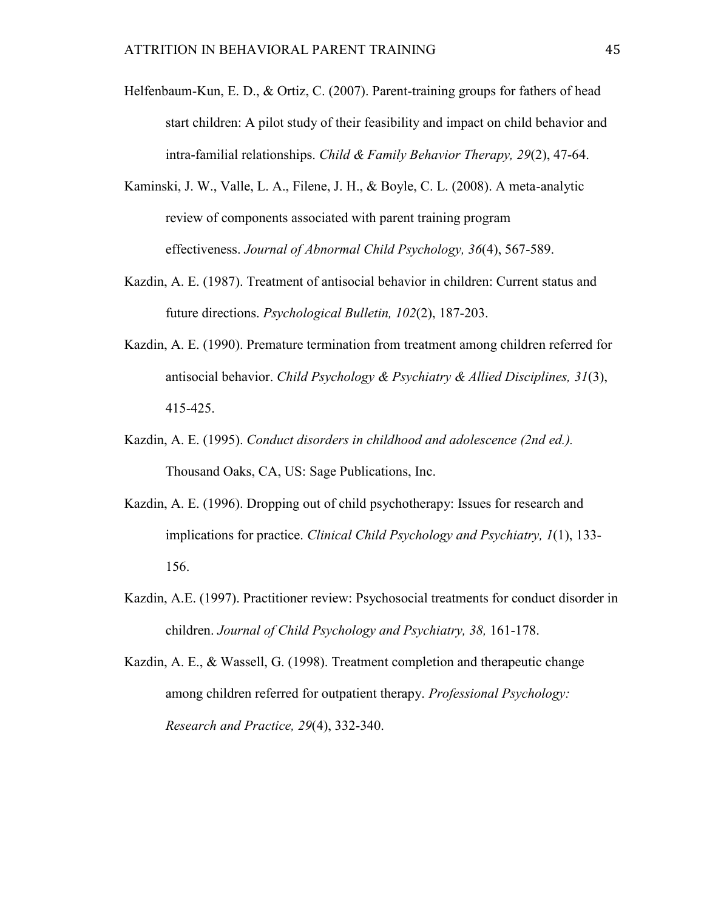- Helfenbaum-Kun, E. D., & Ortiz, C. (2007). Parent-training groups for fathers of head start children: A pilot study of their feasibility and impact on child behavior and intra-familial relationships. *Child & Family Behavior Therapy, 29*(2), 47-64.
- Kaminski, J. W., Valle, L. A., Filene, J. H., & Boyle, C. L. (2008). A meta-analytic review of components associated with parent training program effectiveness. *Journal of Abnormal Child Psychology, 36*(4), 567-589.
- Kazdin, A. E. (1987). Treatment of antisocial behavior in children: Current status and future directions. *Psychological Bulletin, 102*(2), 187-203.
- Kazdin, A. E. (1990). Premature termination from treatment among children referred for antisocial behavior. *Child Psychology & Psychiatry & Allied Disciplines, 31*(3), 415-425.
- Kazdin, A. E. (1995). *Conduct disorders in childhood and adolescence (2nd ed.).*  Thousand Oaks, CA, US: Sage Publications, Inc.
- Kazdin, A. E. (1996). Dropping out of child psychotherapy: Issues for research and implications for practice. *Clinical Child Psychology and Psychiatry, 1*(1), 133- 156.
- Kazdin, A.E. (1997). Practitioner review: Psychosocial treatments for conduct disorder in children. *Journal of Child Psychology and Psychiatry, 38,* 161-178.
- Kazdin, A. E., & Wassell, G. (1998). Treatment completion and therapeutic change among children referred for outpatient therapy. *Professional Psychology: Research and Practice, 29*(4), 332-340.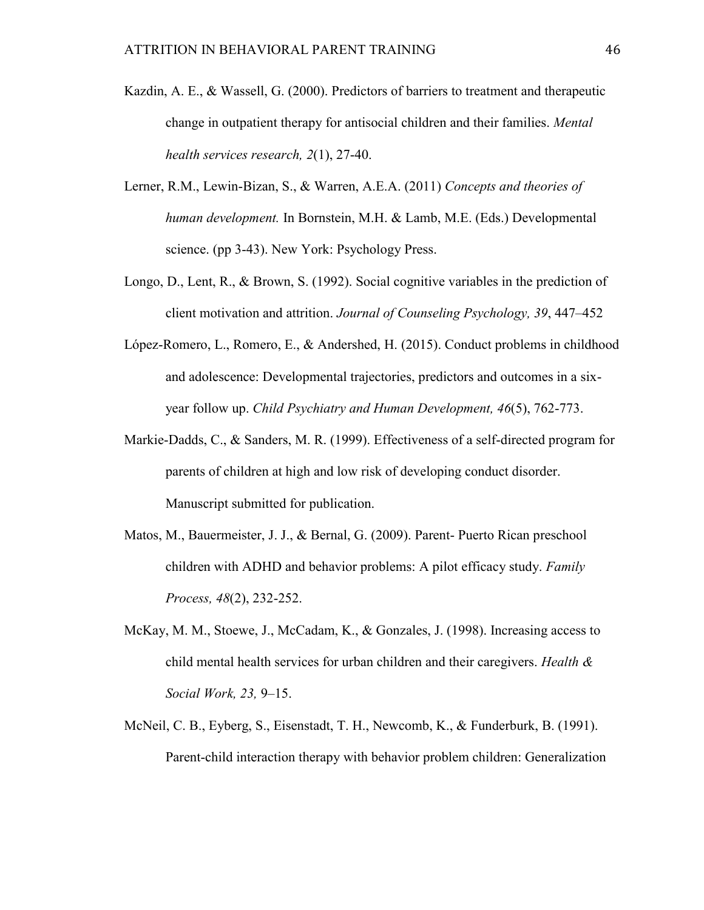- Kazdin, A. E., & Wassell, G. (2000). Predictors of barriers to treatment and therapeutic change in outpatient therapy for antisocial children and their families. *Mental health services research, 2*(1), 27-40.
- Lerner, R.M., Lewin-Bizan, S., & Warren, A.E.A. (2011) *Concepts and theories of human development.* In Bornstein, M.H. & Lamb, M.E. (Eds.) Developmental science. (pp 3-43). New York: Psychology Press.
- Longo, D., Lent, R., & Brown, S. (1992). Social cognitive variables in the prediction of client motivation and attrition. *Journal of Counseling Psychology, 39*, 447–452
- López-Romero, L., Romero, E., & Andershed, H. (2015). Conduct problems in childhood and adolescence: Developmental trajectories, predictors and outcomes in a sixyear follow up. *Child Psychiatry and Human Development, 46*(5), 762-773.
- Markie-Dadds, C., & Sanders, M. R. (1999). Effectiveness of a self-directed program for parents of children at high and low risk of developing conduct disorder. Manuscript submitted for publication.
- Matos, M., Bauermeister, J. J., & Bernal, G. (2009). Parent- Puerto Rican preschool children with ADHD and behavior problems: A pilot efficacy study. *Family Process, 48*(2), 232-252.
- McKay, M. M., Stoewe, J., McCadam, K., & Gonzales, J. (1998). Increasing access to child mental health services for urban children and their caregivers. *Health & Social Work, 23,* 9–15.
- McNeil, C. B., Eyberg, S., Eisenstadt, T. H., Newcomb, K., & Funderburk, B. (1991). Parent-child interaction therapy with behavior problem children: Generalization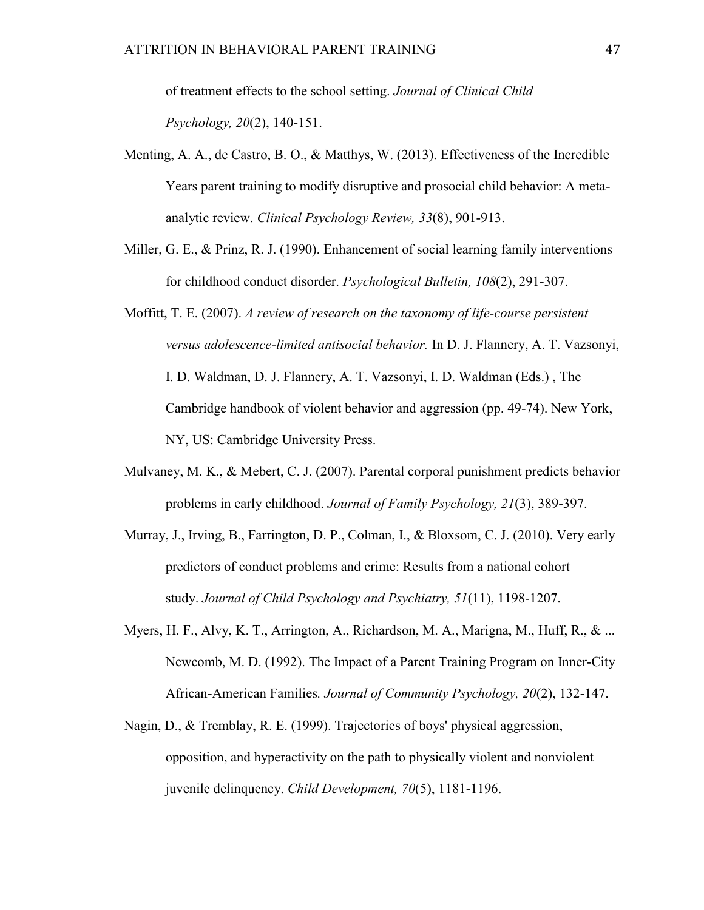of treatment effects to the school setting. *Journal of Clinical Child Psychology, 20*(2), 140-151.

- Menting, A. A., de Castro, B. O., & Matthys, W. (2013). Effectiveness of the Incredible Years parent training to modify disruptive and prosocial child behavior: A metaanalytic review. *Clinical Psychology Review, 33*(8), 901-913.
- Miller, G. E., & Prinz, R. J. (1990). Enhancement of social learning family interventions for childhood conduct disorder. *Psychological Bulletin, 108*(2), 291-307.
- Moffitt, T. E. (2007). *A review of research on the taxonomy of life-course persistent versus adolescence-limited antisocial behavior.* In D. J. Flannery, A. T. Vazsonyi, I. D. Waldman, D. J. Flannery, A. T. Vazsonyi, I. D. Waldman (Eds.) , The Cambridge handbook of violent behavior and aggression (pp. 49-74). New York, NY, US: Cambridge University Press.
- Mulvaney, M. K., & Mebert, C. J. (2007). Parental corporal punishment predicts behavior problems in early childhood. *Journal of Family Psychology, 21*(3), 389-397.
- Murray, J., Irving, B., Farrington, D. P., Colman, I., & Bloxsom, C. J. (2010). Very early predictors of conduct problems and crime: Results from a national cohort study. *Journal of Child Psychology and Psychiatry, 51*(11), 1198-1207.
- Myers, H. F., Alvy, K. T., Arrington, A., Richardson, M. A., Marigna, M., Huff, R., & ... Newcomb, M. D. (1992). The Impact of a Parent Training Program on Inner-City African-American Families*. Journal of Community Psychology, 20*(2), 132-147.
- Nagin, D., & Tremblay, R. E. (1999). Trajectories of boys' physical aggression, opposition, and hyperactivity on the path to physically violent and nonviolent juvenile delinquency. *Child Development, 70*(5), 1181-1196.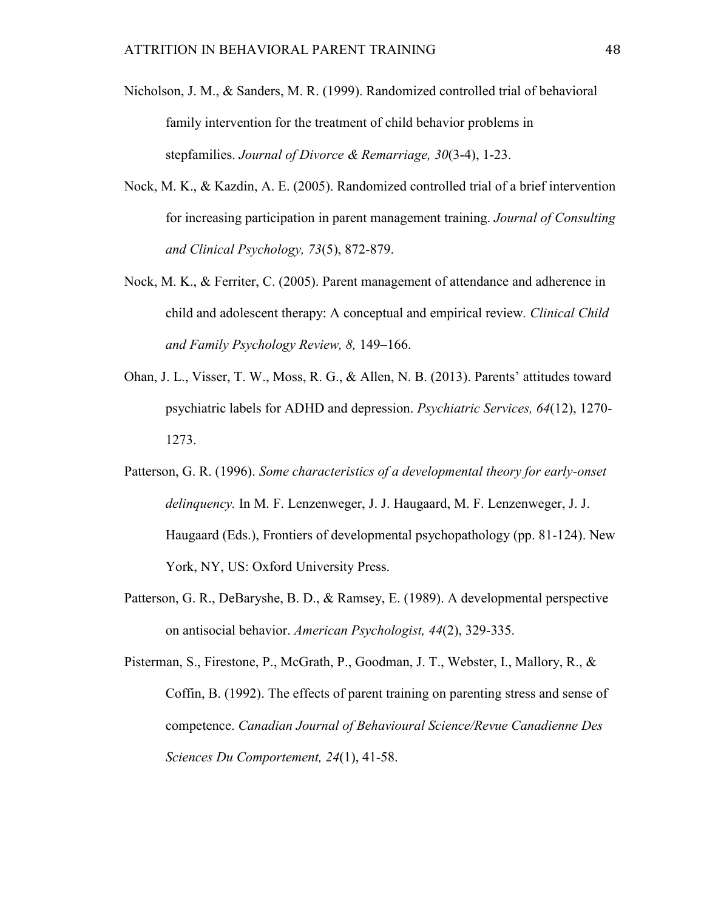- Nicholson, J. M., & Sanders, M. R. (1999). Randomized controlled trial of behavioral family intervention for the treatment of child behavior problems in stepfamilies. *Journal of Divorce & Remarriage, 30*(3-4), 1-23.
- Nock, M. K., & Kazdin, A. E. (2005). Randomized controlled trial of a brief intervention for increasing participation in parent management training. *Journal of Consulting and Clinical Psychology, 73*(5), 872-879.
- Nock, M. K., & Ferriter, C. (2005). Parent management of attendance and adherence in child and adolescent therapy: A conceptual and empirical review*. Clinical Child and Family Psychology Review, 8,* 149–166.
- Ohan, J. L., Visser, T. W., Moss, R. G., & Allen, N. B. (2013). Parents' attitudes toward psychiatric labels for ADHD and depression. *Psychiatric Services, 64*(12), 1270- 1273.
- Patterson, G. R. (1996). *Some characteristics of a developmental theory for early-onset delinquency.* In M. F. Lenzenweger, J. J. Haugaard, M. F. Lenzenweger, J. J. Haugaard (Eds.), Frontiers of developmental psychopathology (pp. 81-124). New York, NY, US: Oxford University Press.
- Patterson, G. R., DeBaryshe, B. D., & Ramsey, E. (1989). A developmental perspective on antisocial behavior. *American Psychologist, 44*(2), 329-335.

Pisterman, S., Firestone, P., McGrath, P., Goodman, J. T., Webster, I., Mallory, R., & Coffin, B. (1992). The effects of parent training on parenting stress and sense of competence. *Canadian Journal of Behavioural Science/Revue Canadienne Des Sciences Du Comportement, 24*(1), 41-58.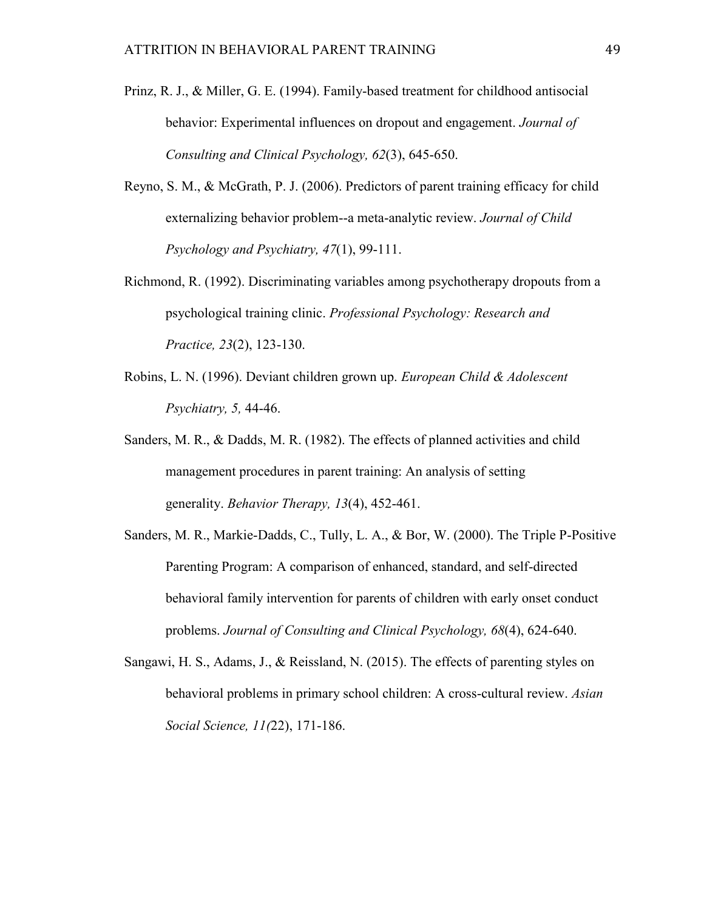- Prinz, R. J., & Miller, G. E. (1994). Family-based treatment for childhood antisocial behavior: Experimental influences on dropout and engagement. *Journal of Consulting and Clinical Psychology, 62*(3), 645-650.
- Reyno, S. M., & McGrath, P. J. (2006). Predictors of parent training efficacy for child externalizing behavior problem--a meta-analytic review. *Journal of Child Psychology and Psychiatry, 47*(1), 99-111.
- Richmond, R. (1992). Discriminating variables among psychotherapy dropouts from a psychological training clinic. *Professional Psychology: Research and Practice, 23*(2), 123-130.
- Robins, L. N. (1996). Deviant children grown up. *European Child & Adolescent Psychiatry, 5,* 44-46.
- Sanders, M. R., & Dadds, M. R. (1982). The effects of planned activities and child management procedures in parent training: An analysis of setting generality. *Behavior Therapy, 13*(4), 452-461.
- Sanders, M. R., Markie-Dadds, C., Tully, L. A., & Bor, W. (2000). The Triple P-Positive Parenting Program: A comparison of enhanced, standard, and self-directed behavioral family intervention for parents of children with early onset conduct problems. *Journal of Consulting and Clinical Psychology, 68*(4), 624-640.
- Sangawi, H. S., Adams, J., & Reissland, N. (2015). The effects of parenting styles on behavioral problems in primary school children: A cross-cultural review. *Asian Social Science, 11(*22), 171-186.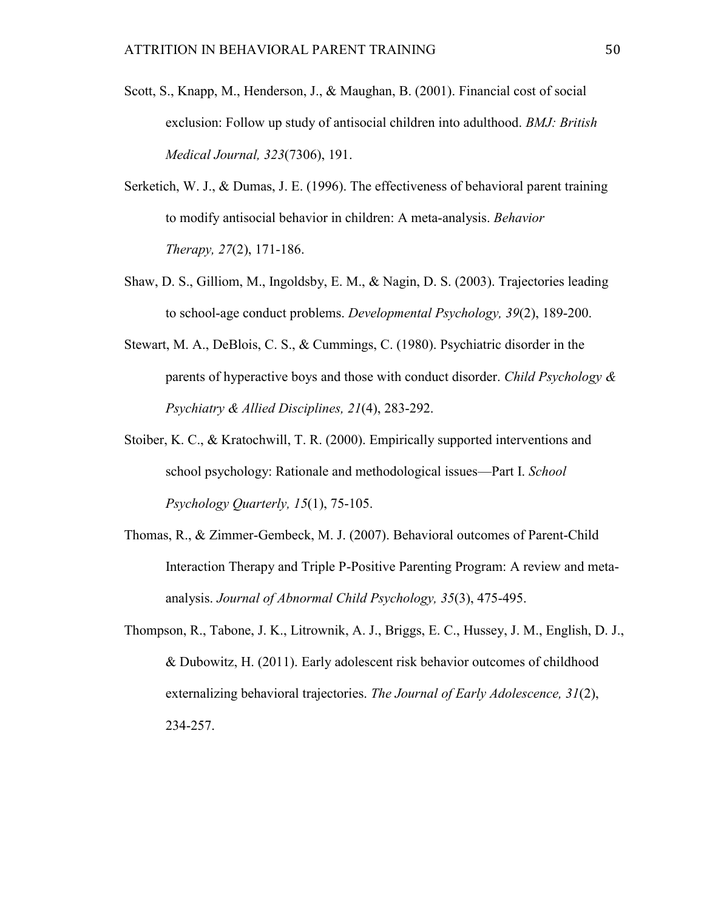- Scott, S., Knapp, M., Henderson, J., & Maughan, B. (2001). Financial cost of social exclusion: Follow up study of antisocial children into adulthood. *BMJ: British Medical Journal, 323*(7306), 191.
- Serketich, W. J., & Dumas, J. E. (1996). The effectiveness of behavioral parent training to modify antisocial behavior in children: A meta-analysis. *Behavior Therapy, 27*(2), 171-186.
- Shaw, D. S., Gilliom, M., Ingoldsby, E. M., & Nagin, D. S. (2003). Trajectories leading to school-age conduct problems. *Developmental Psychology, 39*(2), 189-200.
- Stewart, M. A., DeBlois, C. S., & Cummings, C. (1980). Psychiatric disorder in the parents of hyperactive boys and those with conduct disorder. *Child Psychology & Psychiatry & Allied Disciplines, 21*(4), 283-292.
- Stoiber, K. C., & Kratochwill, T. R. (2000). Empirically supported interventions and school psychology: Rationale and methodological issues—Part I. *School Psychology Quarterly, 15*(1), 75-105.
- Thomas, R., & Zimmer-Gembeck, M. J. (2007). Behavioral outcomes of Parent-Child Interaction Therapy and Triple P-Positive Parenting Program: A review and metaanalysis. *Journal of Abnormal Child Psychology, 35*(3), 475-495.
- Thompson, R., Tabone, J. K., Litrownik, A. J., Briggs, E. C., Hussey, J. M., English, D. J., & Dubowitz, H. (2011). Early adolescent risk behavior outcomes of childhood externalizing behavioral trajectories. *The Journal of Early Adolescence, 31*(2), 234-257.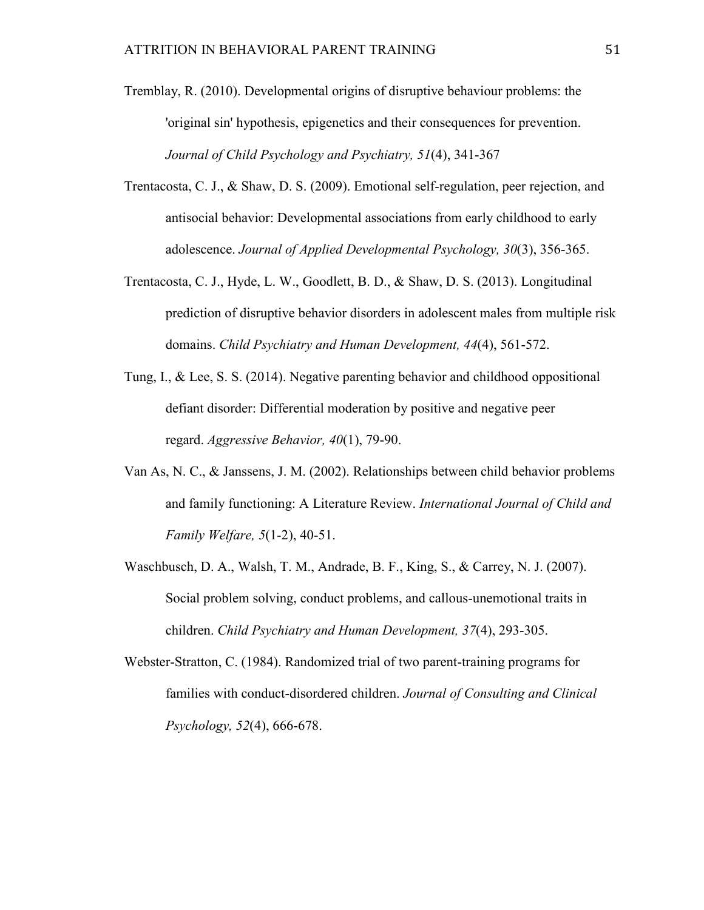- Tremblay, R. (2010). Developmental origins of disruptive behaviour problems: the 'original sin' hypothesis, epigenetics and their consequences for prevention. *Journal of Child Psychology and Psychiatry, 51*(4), 341-367
- Trentacosta, C. J., & Shaw, D. S. (2009). Emotional self-regulation, peer rejection, and antisocial behavior: Developmental associations from early childhood to early adolescence. *Journal of Applied Developmental Psychology, 30*(3), 356-365.
- Trentacosta, C. J., Hyde, L. W., Goodlett, B. D., & Shaw, D. S. (2013). Longitudinal prediction of disruptive behavior disorders in adolescent males from multiple risk domains. *Child Psychiatry and Human Development, 44*(4), 561-572.
- Tung, I., & Lee, S. S. (2014). Negative parenting behavior and childhood oppositional defiant disorder: Differential moderation by positive and negative peer regard. *Aggressive Behavior, 40*(1), 79-90.
- Van As, N. C., & Janssens, J. M. (2002). Relationships between child behavior problems and family functioning: A Literature Review. *International Journal of Child and Family Welfare, 5*(1-2), 40-51.
- Waschbusch, D. A., Walsh, T. M., Andrade, B. F., King, S., & Carrey, N. J. (2007). Social problem solving, conduct problems, and callous-unemotional traits in children. *Child Psychiatry and Human Development, 37*(4), 293-305.
- Webster-Stratton, C. (1984). Randomized trial of two parent-training programs for families with conduct-disordered children. *Journal of Consulting and Clinical Psychology, 52*(4), 666-678.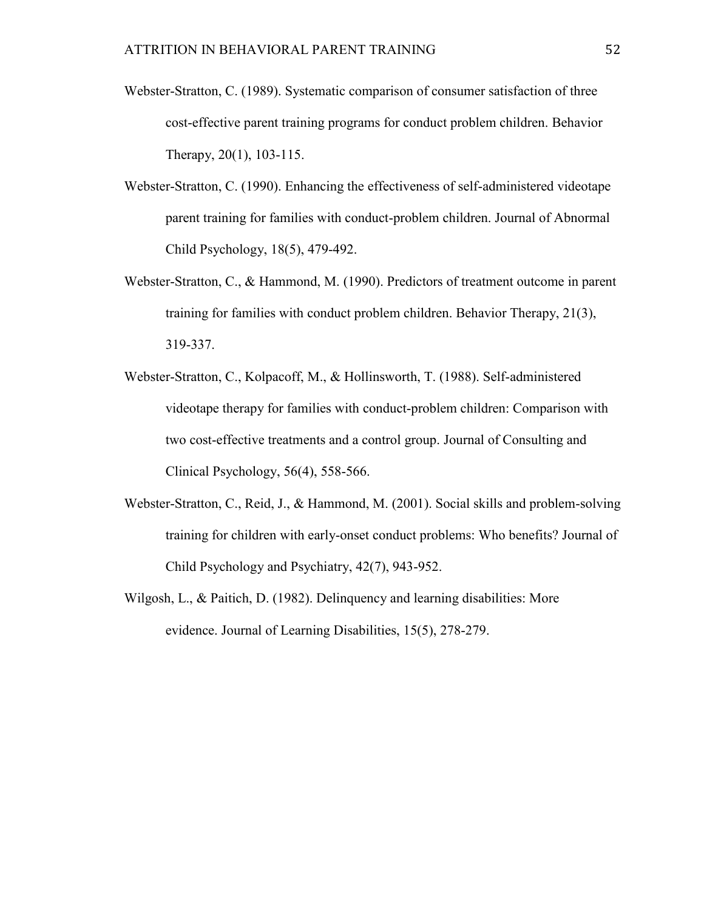- Webster-Stratton, C. (1989). Systematic comparison of consumer satisfaction of three cost-effective parent training programs for conduct problem children. Behavior Therapy, 20(1), 103-115.
- Webster-Stratton, C. (1990). Enhancing the effectiveness of self-administered videotape parent training for families with conduct-problem children. Journal of Abnormal Child Psychology, 18(5), 479-492.
- Webster-Stratton, C., & Hammond, M. (1990). Predictors of treatment outcome in parent training for families with conduct problem children. Behavior Therapy, 21(3), 319-337.
- Webster-Stratton, C., Kolpacoff, M., & Hollinsworth, T. (1988). Self-administered videotape therapy for families with conduct-problem children: Comparison with two cost-effective treatments and a control group. Journal of Consulting and Clinical Psychology, 56(4), 558-566.
- Webster-Stratton, C., Reid, J., & Hammond, M. (2001). Social skills and problem-solving training for children with early-onset conduct problems: Who benefits? Journal of Child Psychology and Psychiatry, 42(7), 943-952.
- Wilgosh, L., & Paitich, D. (1982). Delinquency and learning disabilities: More evidence. Journal of Learning Disabilities, 15(5), 278-279.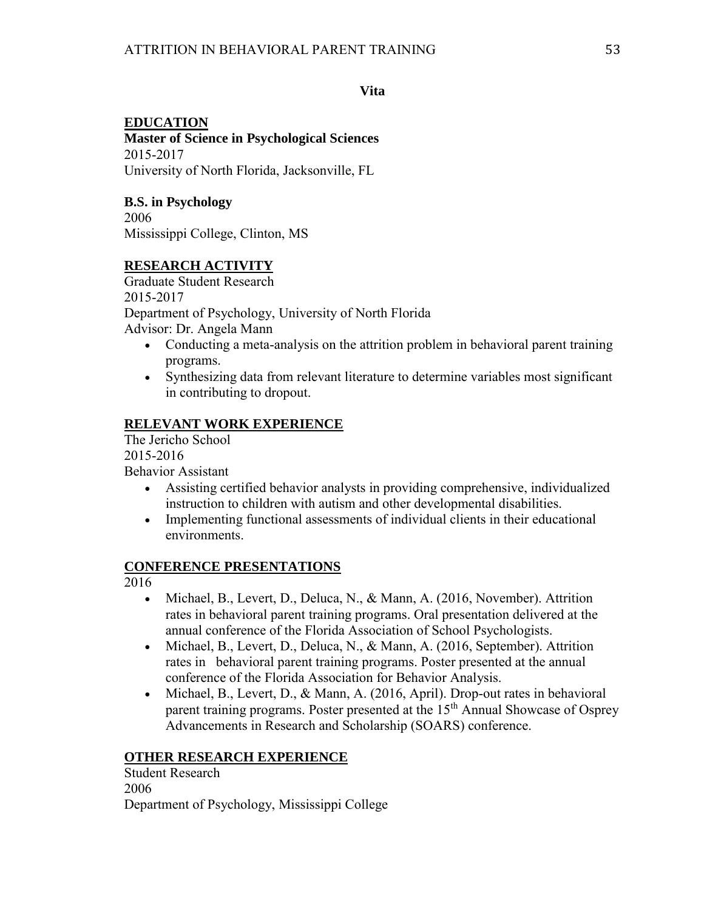### **Vita**

## **EDUCATION**

**Master of Science in Psychological Sciences** 2015-2017 University of North Florida, Jacksonville, FL

## **B.S. in Psychology**

2006 Mississippi College, Clinton, MS

## **RESEARCH ACTIVITY**

Graduate Student Research 2015-2017 Department of Psychology, University of North Florida Advisor: Dr. Angela Mann

- Conducting a meta-analysis on the attrition problem in behavioral parent training programs.
- Synthesizing data from relevant literature to determine variables most significant in contributing to dropout.

## **RELEVANT WORK EXPERIENCE**

The Jericho School 2015-2016

Behavior Assistant

- Assisting certified behavior analysts in providing comprehensive, individualized instruction to children with autism and other developmental disabilities.
- Implementing functional assessments of individual clients in their educational environments.

## **CONFERENCE PRESENTATIONS**

2016

- Michael, B., Levert, D., Deluca, N., & Mann, A. (2016, November). Attrition rates in behavioral parent training programs. Oral presentation delivered at the annual conference of the Florida Association of School Psychologists.
- Michael, B., Levert, D., Deluca, N., & Mann, A. (2016, September). Attrition rates in behavioral parent training programs. Poster presented at the annual conference of the Florida Association for Behavior Analysis.
- Michael, B., Levert, D., & Mann, A. (2016, April). Drop-out rates in behavioral parent training programs. Poster presented at the 15<sup>th</sup> Annual Showcase of Osprey Advancements in Research and Scholarship (SOARS) conference.

## **OTHER RESEARCH EXPERIENCE**

Student Research 2006 Department of Psychology, Mississippi College